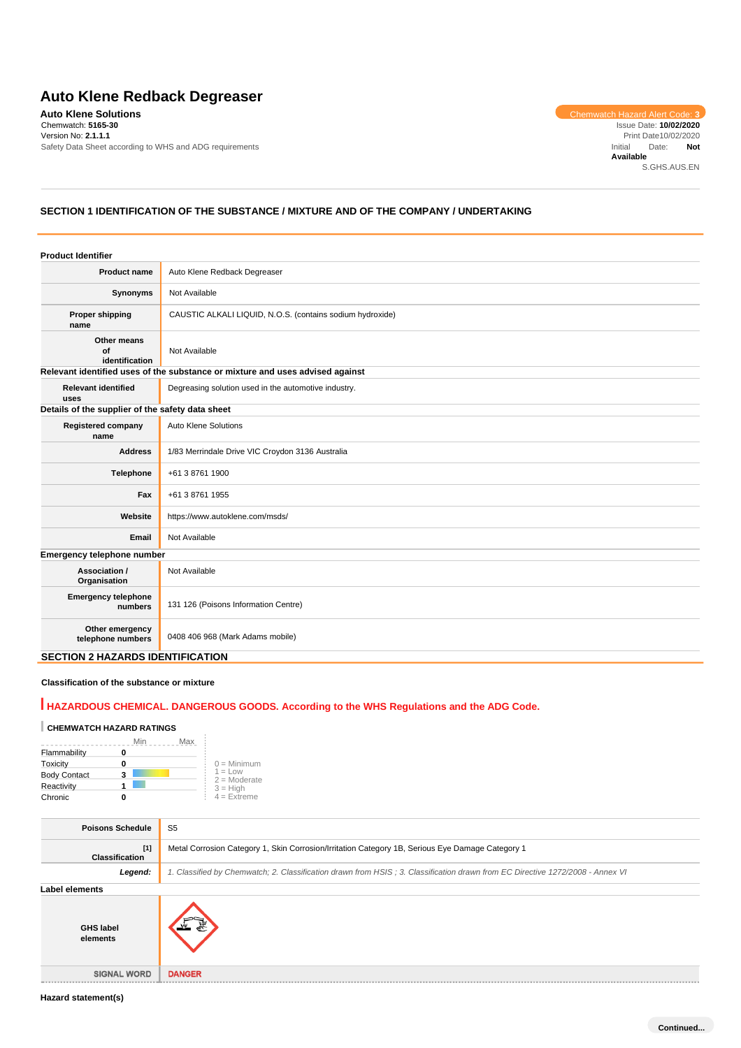# **Auto Klene Redback Degreaser**

**Auto Klene Solutions** Chemwatch Hazard Alert Code: **3** Chemwatch: **5165-30** Version No: **2.1.1.1** Safety Data Sheet according to WHS and ADG requirements

Issue Date: **10/02/2020** Print Date10/02/2020 Initial Date: **Not Available** S.GHS.AUS.EN

# **SECTION 1 IDENTIFICATION OF THE SUBSTANCE / MIXTURE AND OF THE COMPANY / UNDERTAKING**

| <b>Product Identifier</b>                        |                                                                               |
|--------------------------------------------------|-------------------------------------------------------------------------------|
| <b>Product name</b>                              | Auto Klene Redback Degreaser                                                  |
| Synonyms                                         | Not Available                                                                 |
| <b>Proper shipping</b><br>name                   | CAUSTIC ALKALI LIQUID, N.O.S. (contains sodium hydroxide)                     |
| Other means<br>of<br>identification              | Not Available                                                                 |
|                                                  | Relevant identified uses of the substance or mixture and uses advised against |
| <b>Relevant identified</b><br>uses               | Degreasing solution used in the automotive industry.                          |
| Details of the supplier of the safety data sheet |                                                                               |
| <b>Registered company</b><br>name                | <b>Auto Klene Solutions</b>                                                   |
| <b>Address</b>                                   | 1/83 Merrindale Drive VIC Croydon 3136 Australia                              |
| Telephone                                        | +61 3 8761 1900                                                               |
| Fax                                              | +61 3 8761 1955                                                               |
| Website                                          | https://www.autoklene.com/msds/                                               |
| Email                                            | Not Available                                                                 |
| Emergency telephone number                       |                                                                               |
| Association /<br>Organisation                    | Not Available                                                                 |
| <b>Emergency telephone</b><br>numbers            | 131 126 (Poisons Information Centre)                                          |
| Other emergency<br>telephone numbers             | 0408 406 968 (Mark Adams mobile)                                              |
| <b>SECTION 2 HAZARDS IDENTIFICATION</b>          |                                                                               |

### **Classification of the substance or mixture**

# **HAZARDOUS CHEMICAL. DANGEROUS GOODS. According to the WHS Regulations and the ADG Code.**

## **CHEMWATCH HAZARD RATINGS**

|                     |   | Max<br>Min |                                    |
|---------------------|---|------------|------------------------------------|
| Flammability        |   |            |                                    |
| <b>Toxicity</b>     | o |            | $0 =$ Minimum                      |
| <b>Body Contact</b> | 3 |            | $1 = 1$ $\Omega$<br>$2 =$ Moderate |
| Reactivity          |   |            |                                    |
| Chronic             |   |            | $3 = High$<br>$4 = Extreme$        |

| <b>Poisons Schedule</b>      | S <sub>5</sub>                                                                                                                |
|------------------------------|-------------------------------------------------------------------------------------------------------------------------------|
| $[1]$<br>Classification      | Metal Corrosion Category 1, Skin Corrosion/Irritation Category 1B, Serious Eye Damage Category 1                              |
| Legend:                      | 1. Classified by Chemwatch; 2. Classification drawn from HSIS; 3. Classification drawn from EC Directive 1272/2008 - Annex VI |
| Label elements               |                                                                                                                               |
| <b>GHS label</b><br>elements |                                                                                                                               |
| <b>SIGNAL WORD</b>           | <b>DANGER</b>                                                                                                                 |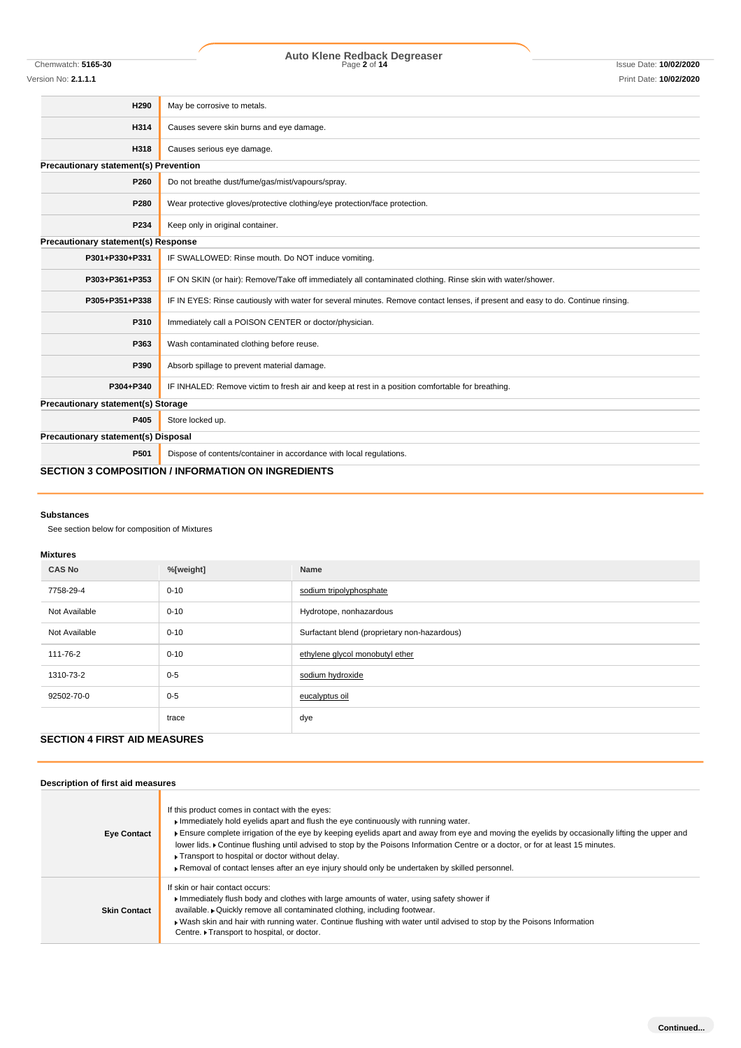# Chemwatch: **5165-30** Page **2** of **14** Issue Date: **10/02/2020 Auto Klene Redback Degreaser**

Version No: **2.1.1.1** Print Date: **10/02/2020**

| H290                                  | May be corrosive to metals.                                                                                                      |  |  |  |
|---------------------------------------|----------------------------------------------------------------------------------------------------------------------------------|--|--|--|
| H314                                  | Causes severe skin burns and eye damage.                                                                                         |  |  |  |
| H318                                  | Causes serious eye damage.                                                                                                       |  |  |  |
| Precautionary statement(s) Prevention |                                                                                                                                  |  |  |  |
| P260                                  | Do not breathe dust/fume/gas/mist/vapours/spray.                                                                                 |  |  |  |
| P280                                  | Wear protective gloves/protective clothing/eye protection/face protection.                                                       |  |  |  |
| P234                                  | Keep only in original container.                                                                                                 |  |  |  |
| Precautionary statement(s) Response   |                                                                                                                                  |  |  |  |
| P301+P330+P331                        | IF SWALLOWED: Rinse mouth. Do NOT induce vomiting.                                                                               |  |  |  |
| P303+P361+P353                        | IF ON SKIN (or hair): Remove/Take off immediately all contaminated clothing. Rinse skin with water/shower.                       |  |  |  |
| P305+P351+P338                        | IF IN EYES: Rinse cautiously with water for several minutes. Remove contact lenses, if present and easy to do. Continue rinsing. |  |  |  |
| P310                                  | Immediately call a POISON CENTER or doctor/physician.                                                                            |  |  |  |
| P363                                  | Wash contaminated clothing before reuse.                                                                                         |  |  |  |
| P390                                  | Absorb spillage to prevent material damage.                                                                                      |  |  |  |
| P304+P340                             | IF INHALED: Remove victim to fresh air and keep at rest in a position comfortable for breathing.                                 |  |  |  |
| Precautionary statement(s) Storage    |                                                                                                                                  |  |  |  |
| P405                                  | Store locked up.                                                                                                                 |  |  |  |
| Precautionary statement(s) Disposal   |                                                                                                                                  |  |  |  |
| P501                                  | Dispose of contents/container in accordance with local regulations.                                                              |  |  |  |
|                                       | <b>SECTION 3 COMPOSITION / INFORMATION ON INGREDIENTS</b>                                                                        |  |  |  |

# **Substances**

See section below for composition of Mixtures

## **Mixtures**

| <b>CAS No</b> | %[weight] | Name                                         |  |  |  |
|---------------|-----------|----------------------------------------------|--|--|--|
| 7758-29-4     | $0 - 10$  | sodium tripolyphosphate                      |  |  |  |
| Not Available | $0 - 10$  | Hydrotope, nonhazardous                      |  |  |  |
| Not Available | $0 - 10$  | Surfactant blend (proprietary non-hazardous) |  |  |  |
| 111-76-2      | $0 - 10$  | ethylene glycol monobutyl ether              |  |  |  |
| 1310-73-2     | $0 - 5$   | sodium hydroxide                             |  |  |  |
| 92502-70-0    | $0 - 5$   | eucalyptus oil                               |  |  |  |
|               | trace     | dye                                          |  |  |  |

# **SECTION 4 FIRST AID MEASURES**

| Description of first aid measures |                                                                                                                                                                                                                                                                                                                                                                                                                                                                                                                                                                                  |
|-----------------------------------|----------------------------------------------------------------------------------------------------------------------------------------------------------------------------------------------------------------------------------------------------------------------------------------------------------------------------------------------------------------------------------------------------------------------------------------------------------------------------------------------------------------------------------------------------------------------------------|
| <b>Eye Contact</b>                | If this product comes in contact with the eyes:<br>Immediately hold eyelids apart and flush the eye continuously with running water.<br>Ensure complete irrigation of the eye by keeping eyelids apart and away from eye and moving the eyelids by occasionally lifting the upper and<br>lower lids. I Continue flushing until advised to stop by the Poisons Information Centre or a doctor, or for at least 15 minutes.<br>▶ Transport to hospital or doctor without delay.<br>▶ Removal of contact lenses after an eye injury should only be undertaken by skilled personnel. |
| <b>Skin Contact</b>               | If skin or hair contact occurs:<br>Immediately flush body and clothes with large amounts of water, using safety shower if<br>available. • Quickly remove all contaminated clothing, including footwear.<br>▶ Wash skin and hair with running water. Continue flushing with water until advised to stop by the Poisons Information<br>Centre. Transport to hospital, or doctor.                                                                                                                                                                                                   |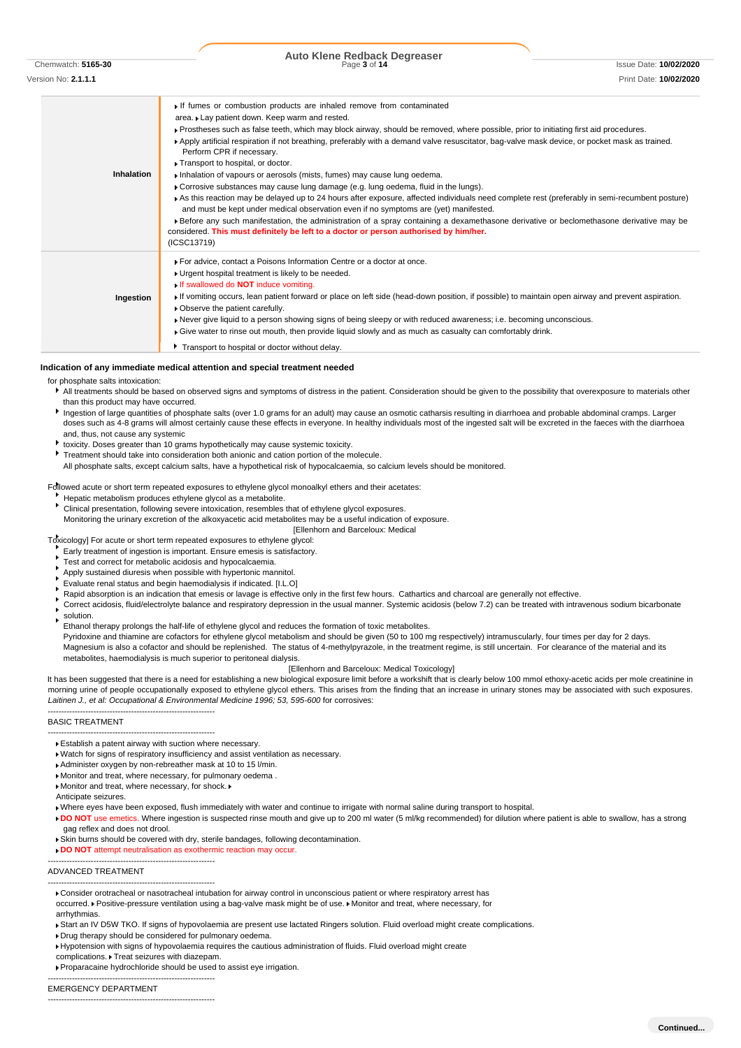**Auto Klene Redback Degreaser**

Chemwatch: **5165-30** Page **3** of **14** Issue Date: **10/02/2020**

Version No: **2.1.1.1** Print Date: **10/02/2020 Inhalation** If fumes or combustion products are inhaled remove from contaminated area. Lay patient down. Keep warm and rested. Prostheses such as false teeth, which may block airway, should be removed, where possible, prior to initiating first aid procedures. Apply artificial respiration if not breathing, preferably with a demand valve resuscitator, bag-valve mask device, or pocket mask as trained. Perform CPR if necessary. ▶ Transport to hospital, or doctor. Inhalation of vapours or aerosols (mists, fumes) may cause lung oedema. Corrosive substances may cause lung damage (e.g. lung oedema, fluid in the lungs). As this reaction may be delayed up to 24 hours after exposure, affected individuals need complete rest (preferably in semi-recumbent posture) and must be kept under medical observation even if no symptoms are (yet) manifested. Before any such manifestation, the administration of a spray containing a dexamethasone derivative or beclomethasone derivative may be considered. **This must definitely be left to a doctor or person authorised by him/her.** (ICSC13719) **Ingestion** For advice, contact a Poisons Information Centre or a doctor at once. ► Urgent hospital treatment is likely to be needed. If swallowed do **NOT** induce vomiting. If vomiting occurs, lean patient forward or place on left side (head-down position, if possible) to maintain open airway and prevent aspiration. Observe the patient carefully. Never give liquid to a person showing signs of being sleepy or with reduced awareness; i.e. becoming unconscious. Give water to rinse out mouth, then provide liquid slowly and as much as casualty can comfortably drink. **Transport to hospital or doctor without delay.** 

#### **Indication of any immediate medical attention and special treatment needed**

#### for phosphate salts intoxication:

- All treatments should be based on observed signs and symptoms of distress in the patient. Consideration should be given to the possibility that overexposure to materials other than this product may have occurred.
- Ingestion of large quantities of phosphate salts (over 1.0 grams for an adult) may cause an osmotic catharsis resulting in diarrhoea and probable abdominal cramps. Larger doses such as 4-8 grams will almost certainly cause these effects in everyone. In healthy individuals most of the ingested salt will be excreted in the faeces with the diarrhoea and, thus, not cause any systemic
- toxicity. Doses greater than 10 grams hypothetically may cause systemic toxicity.
- Treatment should take into consideration both anionic and cation portion of the molecule.

All phosphate salts, except calcium salts, have a hypothetical risk of hypocalcaemia, so calcium levels should be monitored.

Followed acute or short term repeated exposures to ethylene glycol monoalkyl ethers and their acetates:

- Hepatic metabolism produces ethylene glycol as a metabolite.
- Clinical presentation, following severe intoxication, resembles that of ethylene glycol exposures.
- Monitoring the urinary excretion of the alkoxyacetic acid metabolites may be a useful indication of exposure.
	- [Ellenhorn and Barceloux: Medical

Toxicology] For acute or short term repeated exposures to ethylene glycol:

Early treatment of ingestion is important. Ensure emesis is satisfactory. ×

- Test and correct for metabolic acidosis and hypocalcaemia.
- Apply sustained diuresis when possible with hypertonic mannitol.
- Evaluate renal status and begin haemodialysis if indicated. [I.L.O]
- Rapid absorption is an indication that emesis or lavage is effective only in the first few hours. Cathartics and charcoal are generally not effective. ×
- Correct acidosis, fluid/electrolyte balance and respiratory depression in the usual manner. Systemic acidosis (below 7.2) can be treated with intravenous sodium bicarbonate
- solution. ٠
- Ethanol therapy prolongs the half-life of ethylene glycol and reduces the formation of toxic metabolites.

Pyridoxine and thiamine are cofactors for ethylene glycol metabolism and should be given (50 to 100 mg respectively) intramuscularly, four times per day for 2 days. Magnesium is also a cofactor and should be replenished. The status of 4-methylpyrazole, in the treatment regime, is still uncertain. For clearance of the material and its metabolites, haemodialysis is much superior to peritoneal dialysis.

#### [Ellenhorn and Barceloux: Medical Toxicology]

It has been suggested that there is a need for establishing a new biological exposure limit before a workshift that is clearly below 100 mmol ethoxy-acetic acids per mole creatinine in morning urine of people occupationally exposed to ethylene glycol ethers. This arises from the finding that an increase in urinary stones may be associated with such exposures. Laitinen J., et al: Occupational & Environmental Medicine 1996; 53, 595-600 for corrosives:

BASIC TREATMENT

--------------------------------------------------------------

--------------------------------------------------------------

--------------------------------------------------------------

--------------------------------------------------------------

- Watch for signs of respiratory insufficiency and assist ventilation as necessary.
- Administer oxygen by non-rebreather mask at 10 to 15 l/min.
- Monitor and treat, where necessary, for pulmonary oedema .
- Monitor and treat, where necessary, for shock.
- Anticipate seizures.

Where eyes have been exposed, flush immediately with water and continue to irrigate with normal saline during transport to hospital.

- **DO NOT** use emetics. Where ingestion is suspected rinse mouth and give up to 200 ml water (5 ml/kg recommended) for dilution where patient is able to swallow, has a strong gag reflex and does not drool.
- Skin burns should be covered with dry, sterile bandages, following decontamination.

**DO NOT** attempt neutralisation as exothermic reaction may occur

#### ADVANCED TREATMENT

- Consider orotracheal or nasotracheal intubation for airway control in unconscious patient or where respiratory arrest has occurred. Positive-pressure ventilation using a bag-valve mask might be of use. Monitor and treat, where necessary, for arrhythmias
- ▶ Start an IV D5W TKO. If signs of hypovolaemia are present use lactated Ringers solution. Fluid overload might create complications.
- Drug therapy should be considered for pulmonary oedema.
- Hypotension with signs of hypovolaemia requires the cautious administration of fluids. Fluid overload might create

complications. Treat seizures with diazepam.

-------------------------------------------------------------- EMERGENCY DEPARTMENT

--------------------------------------------------------------

Establish a patent airway with suction where necessary.

Proparacaine hydrochloride should be used to assist eye irrigation.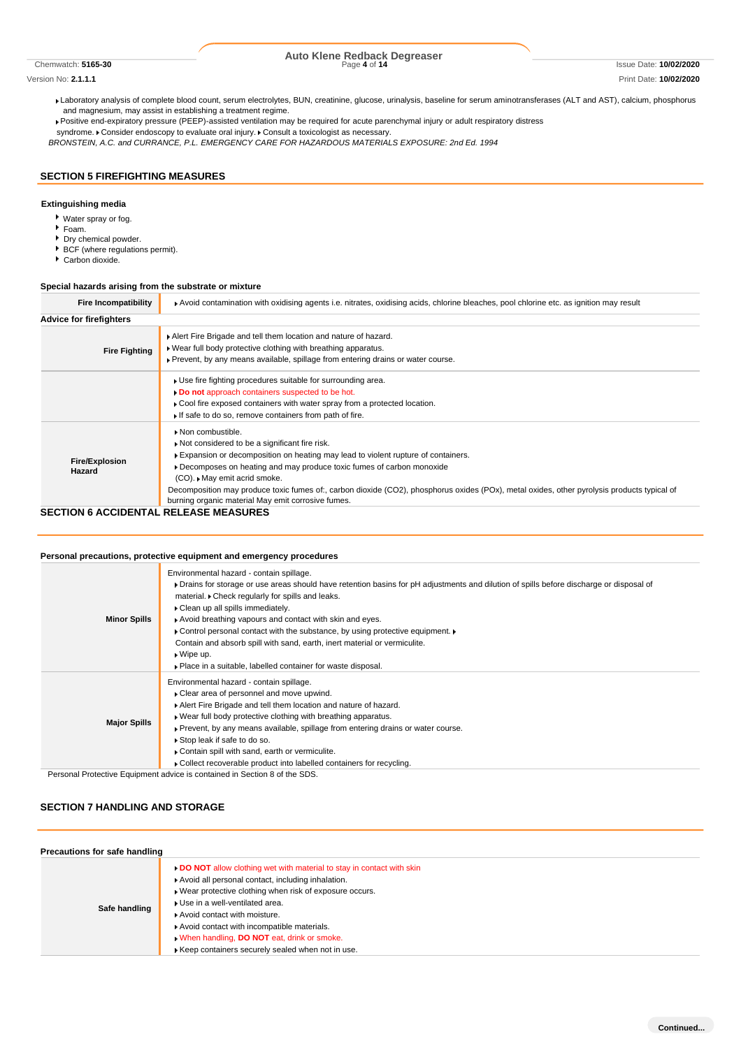# Chemwatch: **5165-30** Page **4** of **14** Issue Date: **10/02/2020 Auto Klene Redback Degreaser**

### Version No: **2.1.1.1** Print Date: **10/02/2020**

Laboratory analysis of complete blood count, serum electrolytes, BUN, creatinine, glucose, urinalysis, baseline for serum aminotransferases (ALT and AST), calcium, phosphorus and magnesium, may assist in establishing a treatment regime.

Positive end-expiratory pressure (PEEP)-assisted ventilation may be required for acute parenchymal injury or adult respiratory distress

syndrome. Consider endoscopy to evaluate oral injury. Consult a toxicologist as necessary.

*BRONSTEIN, A.C. and CURRANCE, P.L. EMERGENCY CARE FOR HAZARDOUS MATERIALS EXPOSURE: 2nd Ed. 1994*

# **SECTION 5 FIREFIGHTING MEASURES**

### **Extinguishing media**

- Water spray or fog.
- Foam.
- Dry chemical powder.
- BCF (where regulations permit).
- Carbon dioxide.

### **Special hazards arising from the substrate or mixture**

| <b>Fire Incompatibility</b>     | ▶ Avoid contamination with oxidising agents i.e. nitrates, oxidising acids, chlorine bleaches, pool chlorine etc. as ignition may result                                                                                                                                                                                                                                                                    |  |  |  |  |
|---------------------------------|-------------------------------------------------------------------------------------------------------------------------------------------------------------------------------------------------------------------------------------------------------------------------------------------------------------------------------------------------------------------------------------------------------------|--|--|--|--|
| <b>Advice for firefighters</b>  |                                                                                                                                                                                                                                                                                                                                                                                                             |  |  |  |  |
| <b>Fire Fighting</b>            | Alert Fire Brigade and tell them location and nature of hazard.<br>. Wear full body protective clothing with breathing apparatus.<br>▶ Prevent, by any means available, spillage from entering drains or water course.                                                                                                                                                                                      |  |  |  |  |
|                                 | . Use fire fighting procedures suitable for surrounding area.<br>Do not approach containers suspected to be hot.<br>Cool fire exposed containers with water spray from a protected location.<br>If safe to do so, remove containers from path of fire.                                                                                                                                                      |  |  |  |  |
| <b>Fire/Explosion</b><br>Hazard | Non combustible.<br>Not considered to be a significant fire risk.<br>Expansion or decomposition on heating may lead to violent rupture of containers.<br>Decomposes on heating and may produce toxic fumes of carbon monoxide<br>(CO). May emit acrid smoke.<br>Decomposition may produce toxic fumes of:, carbon dioxide (CO2), phosphorus oxides (POx), metal oxides, other pyrolysis products typical of |  |  |  |  |
| 050710110 1001051171            | burning organic material May emit corrosive fumes.<br><u>BELEA OF MEAQUBEQ</u>                                                                                                                                                                                                                                                                                                                              |  |  |  |  |

### **SECTION 6 ACCIDENTAL RELEASE MEASURES**

## **Personal precautions, protective equipment and emergency procedures**

| <b>Minor Spills</b> | Environmental hazard - contain spillage.<br>• Drains for storage or use areas should have retention basins for pH adjustments and dilution of spills before discharge or disposal of<br>material. Check regularly for spills and leaks.<br>Clean up all spills immediately.<br>Avoid breathing vapours and contact with skin and eyes.<br>• Control personal contact with the substance, by using protective equipment. •<br>Contain and absorb spill with sand, earth, inert material or vermiculite.<br>$\bullet$ Wipe up.<br>• Place in a suitable, labelled container for waste disposal. |
|---------------------|-----------------------------------------------------------------------------------------------------------------------------------------------------------------------------------------------------------------------------------------------------------------------------------------------------------------------------------------------------------------------------------------------------------------------------------------------------------------------------------------------------------------------------------------------------------------------------------------------|
| <b>Major Spills</b> | Environmental hazard - contain spillage.<br>▶ Clear area of personnel and move upwind.<br>Alert Fire Brigade and tell them location and nature of hazard.<br>. Wear full body protective clothing with breathing apparatus.<br>► Prevent, by any means available, spillage from entering drains or water course.<br>Stop leak if safe to do so.<br>Contain spill with sand, earth or vermiculite.<br>• Collect recoverable product into labelled containers for recycling.<br>Demand Dratesting Equipment education in contained in Continua 0 of the CDC                                     |

Personal Protective Equipment advice is contained in Section 8 of the SDS.

## **SECTION 7 HANDLING AND STORAGE**

| Precautions for safe handling |                                                                                                                                                                                                                                                                                                                                                       |  |  |
|-------------------------------|-------------------------------------------------------------------------------------------------------------------------------------------------------------------------------------------------------------------------------------------------------------------------------------------------------------------------------------------------------|--|--|
| Safe handling                 | DO NOT allow clothing wet with material to stay in contact with skin<br>Avoid all personal contact, including inhalation.<br>▶ Wear protective clothing when risk of exposure occurs.<br>▶ Use in a well-ventilated area.<br>Avoid contact with moisture.<br>Avoid contact with incompatible materials.<br>When handling, DO NOT eat, drink or smoke. |  |  |
|                               | Keep containers securely sealed when not in use.                                                                                                                                                                                                                                                                                                      |  |  |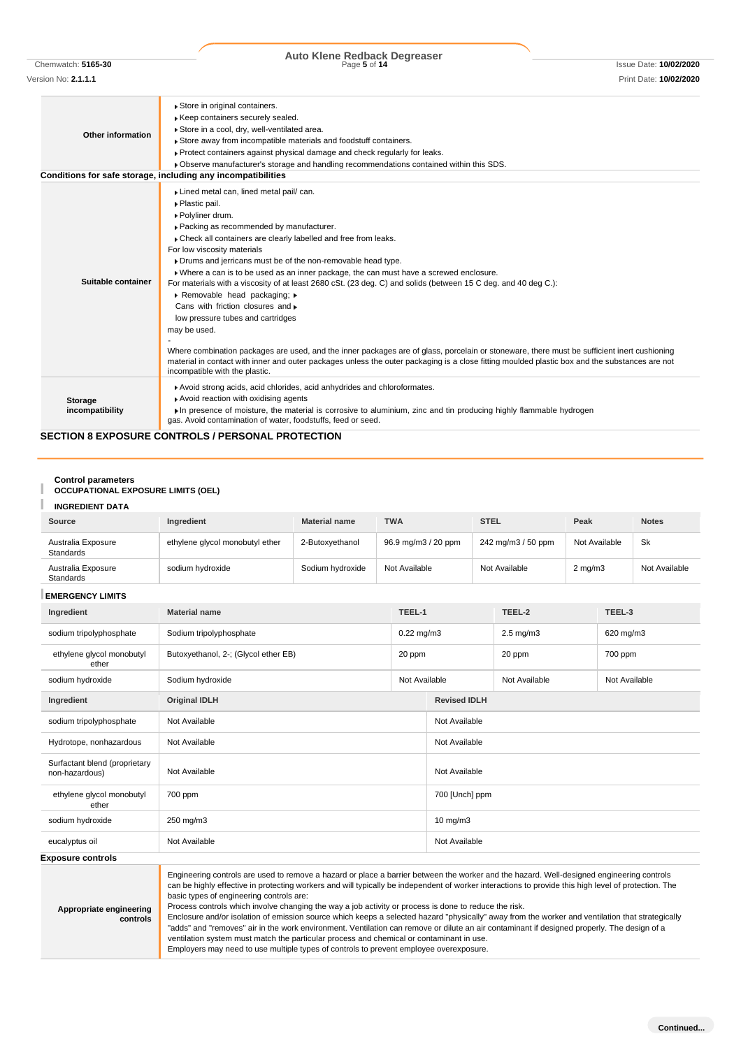# Chemwatch: **5165-30** Page **5** of **14** Issue Date: **10/02/2020 Auto Klene Redback Degreaser**

**Other information** Store in original containers. Keep containers securely sealed. Store in a cool, dry, well-ventilated area. ► Store away from incompatible materials and foodstuff containers. Protect containers against physical damage and check regularly for leaks. Observe manufacturer's storage and handling recommendations contained within this SDS. **Conditions for safe storage, including any incompatibilities Suitable container** Lined metal can, lined metal pail/ can. Plastic pail. Polyliner drum. Packing as recommended by manufacturer. Check all containers are clearly labelled and free from leaks. For low viscosity materials Drums and jerricans must be of the non-removable head type. Where a can is to be used as an inner package, the can must have a screwed enclosure. For materials with a viscosity of at least 2680 cSt. (23 deg. C) and solids (between 15 C deg. and 40 deg C.): Removable head packaging; Cans with friction closures and  $\ast$ low pressure tubes and cartridges may be used. - Where combination packages are used, and the inner packages are of glass, porcelain or stoneware, there must be sufficient inert cushioning material in contact with inner and outer packages unless the outer packaging is a close fitting moulded plastic box and the substances are not incompatible with the plastic. **Storage incompatibility** Avoid strong acids, acid chlorides, acid anhydrides and chloroformates. Avoid reaction with oxidising agents In presence of moisture, the material is corrosive to aluminium, zinc and tin producing highly flammable hydrogen gas. Avoid contamination of water, foodstuffs, feed or seed.

### **SECTION 8 EXPOSURE CONTROLS / PERSONAL PROTECTION**

# **Control parameters**

# **OCCUPATIONAL EXPOSURE LIMITS (OEL)**

|  |  | <b>INGREDIENT DATA</b> |  |
|--|--|------------------------|--|
|--|--|------------------------|--|

| <b>INGREDIENT DATA</b>                                                                                                                                                                                                                                                                                                                                                                                                                                                                                                                                                                                                                            |                                      |                      |                     |                 |                     |                      |                  |           |               |  |
|---------------------------------------------------------------------------------------------------------------------------------------------------------------------------------------------------------------------------------------------------------------------------------------------------------------------------------------------------------------------------------------------------------------------------------------------------------------------------------------------------------------------------------------------------------------------------------------------------------------------------------------------------|--------------------------------------|----------------------|---------------------|-----------------|---------------------|----------------------|------------------|-----------|---------------|--|
| <b>Source</b>                                                                                                                                                                                                                                                                                                                                                                                                                                                                                                                                                                                                                                     | Ingredient                           | <b>Material name</b> | <b>TWA</b>          |                 | <b>STEL</b>         |                      | Peak             |           | <b>Notes</b>  |  |
| Australia Exposure<br><b>Standards</b>                                                                                                                                                                                                                                                                                                                                                                                                                                                                                                                                                                                                            | ethylene glycol monobutyl ether      | 2-Butoxyethanol      | 96.9 mg/m3 / 20 ppm |                 | 242 mg/m3 / 50 ppm  |                      | Not Available    |           | Sk            |  |
| Australia Exposure<br><b>Standards</b>                                                                                                                                                                                                                                                                                                                                                                                                                                                                                                                                                                                                            | sodium hydroxide                     | Sodium hydroxide     | Not Available       |                 | Not Available       |                      | $2 \text{ mg/m}$ |           | Not Available |  |
| <b>EMERGENCY LIMITS</b>                                                                                                                                                                                                                                                                                                                                                                                                                                                                                                                                                                                                                           |                                      |                      |                     |                 |                     |                      |                  |           |               |  |
| Ingredient                                                                                                                                                                                                                                                                                                                                                                                                                                                                                                                                                                                                                                        | <b>Material name</b>                 |                      |                     | TEEL-1          | TEEL-2              |                      | TEEL-3           |           |               |  |
| sodium tripolyphosphate                                                                                                                                                                                                                                                                                                                                                                                                                                                                                                                                                                                                                           | Sodium tripolyphosphate              |                      |                     | $0.22$ mg/m $3$ |                     | $2.5 \text{ mg/m}$ 3 |                  | 620 mg/m3 |               |  |
| ethylene glycol monobutyl<br>ether                                                                                                                                                                                                                                                                                                                                                                                                                                                                                                                                                                                                                | Butoxyethanol, 2-; (Glycol ether EB) | 20 ppm               |                     |                 |                     |                      | 20 ppm           |           | 700 ppm       |  |
| sodium hydroxide                                                                                                                                                                                                                                                                                                                                                                                                                                                                                                                                                                                                                                  | Sodium hydroxide                     |                      | Not Available       | Not Available   |                     | Not Available        |                  |           |               |  |
| Ingredient                                                                                                                                                                                                                                                                                                                                                                                                                                                                                                                                                                                                                                        | <b>Original IDLH</b>                 |                      |                     |                 | <b>Revised IDLH</b> |                      |                  |           |               |  |
| sodium tripolyphosphate                                                                                                                                                                                                                                                                                                                                                                                                                                                                                                                                                                                                                           | Not Available                        |                      |                     |                 | Not Available       |                      |                  |           |               |  |
| Hydrotope, nonhazardous                                                                                                                                                                                                                                                                                                                                                                                                                                                                                                                                                                                                                           | Not Available                        |                      |                     |                 | Not Available       |                      |                  |           |               |  |
| Surfactant blend (proprietary<br>non-hazardous)                                                                                                                                                                                                                                                                                                                                                                                                                                                                                                                                                                                                   | Not Available<br>Not Available       |                      |                     |                 |                     |                      |                  |           |               |  |
| ethylene glycol monobutyl<br>ether                                                                                                                                                                                                                                                                                                                                                                                                                                                                                                                                                                                                                | 700 ppm                              |                      |                     |                 | 700 [Unch] ppm      |                      |                  |           |               |  |
| sodium hydroxide                                                                                                                                                                                                                                                                                                                                                                                                                                                                                                                                                                                                                                  | 250 mg/m3                            |                      |                     |                 | 10 $mg/m3$          |                      |                  |           |               |  |
| eucalyptus oil                                                                                                                                                                                                                                                                                                                                                                                                                                                                                                                                                                                                                                    | Not Available                        |                      |                     |                 | Not Available       |                      |                  |           |               |  |
| <b>Exposure controls</b>                                                                                                                                                                                                                                                                                                                                                                                                                                                                                                                                                                                                                          |                                      |                      |                     |                 |                     |                      |                  |           |               |  |
| Engineering controls are used to remove a hazard or place a barrier between the worker and the hazard. Well-designed engineering controls<br>can be highly effective in protecting workers and will typically be independent of worker interactions to provide this high level of protection. The<br>basic types of engineering controls are:<br>Process controls which involve changing the way a job activity or process is done to reduce the risk.<br>Appropriate engineering<br>Enclosure and/or isolation of emission source which keeps a selected hazard "physically" away from the worker and ventilation that strategically<br>controle |                                      |                      |                     |                 |                     |                      |                  |           |               |  |

**controls** Enclosure and/or isolation of emission source which keeps a selected hazard "physically" away from the worker and ventilation that strategically "adds" and "removes" air in the work environment. Ventilation can remove or dilute an air contaminant if designed properly. The design of a ventilation system must match the particular process and chemical or contaminant in use. Employers may need to use multiple types of controls to prevent employee overexposure.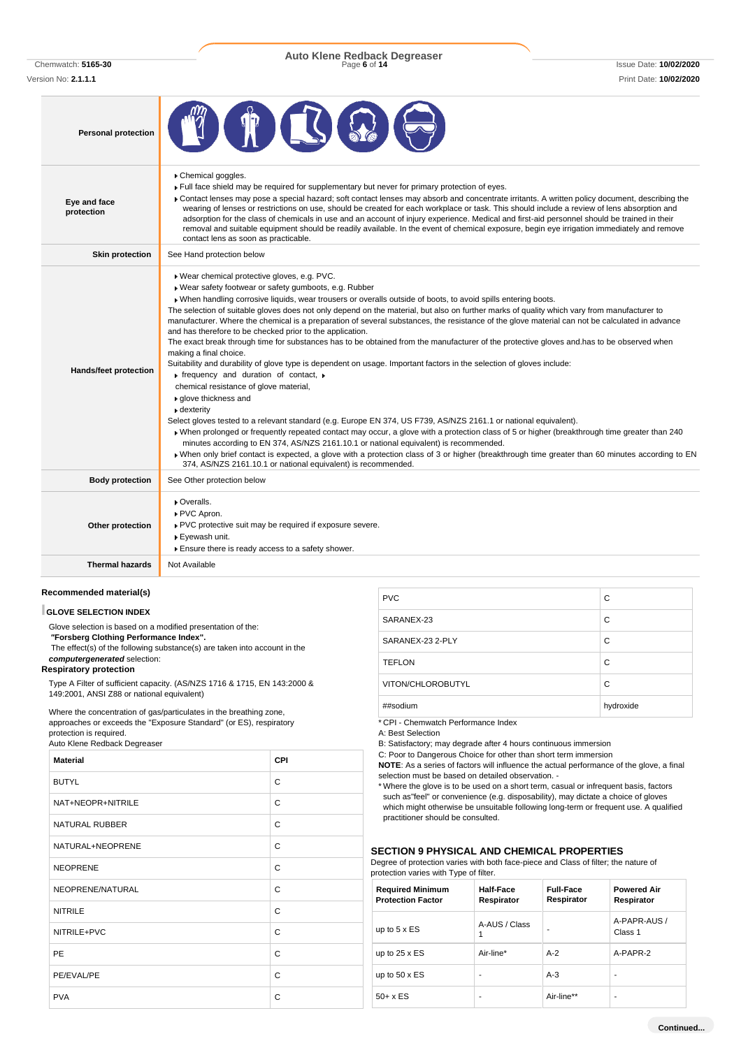Version No: **2.1.1.1** Print Date: **10/02/2020**

Chemwatch: **5165-30** Page **6** of **14** Issue Date: **10/02/2020 Auto Klene Redback Degreaser**

| <b>Personal protection</b> | <b>THESE</b>                                                                                                                                                                                                                                                                                                                                                                                                                                                                                                                                                                                                                                                                                                                                            |
|----------------------------|---------------------------------------------------------------------------------------------------------------------------------------------------------------------------------------------------------------------------------------------------------------------------------------------------------------------------------------------------------------------------------------------------------------------------------------------------------------------------------------------------------------------------------------------------------------------------------------------------------------------------------------------------------------------------------------------------------------------------------------------------------|
| Eye and face<br>protection | Chemical goggles.<br>Full face shield may be required for supplementary but never for primary protection of eyes.<br>Contact lenses may pose a special hazard; soft contact lenses may absorb and concentrate irritants. A written policy document, describing the<br>wearing of lenses or restrictions on use, should be created for each workplace or task. This should include a review of lens absorption and<br>adsorption for the class of chemicals in use and an account of injury experience. Medical and first-aid personnel should be trained in their<br>removal and suitable equipment should be readily available. In the event of chemical exposure, begin eye irrigation immediately and remove<br>contact lens as soon as practicable. |
| <b>Skin protection</b>     | See Hand protection below                                                                                                                                                                                                                                                                                                                                                                                                                                                                                                                                                                                                                                                                                                                               |
|                            | ▶ Wear chemical protective gloves, e.g. PVC.<br>▶ Wear safety footwear or safety gumboots, e.g. Rubber<br>» When handling corrosive liquids, wear trousers or overalls outside of boots, to avoid spills entering boots.<br>The selection of suitable gloves does not only depend on the material, but also on further marks of quality which vary from manufacturer to<br>manufacturer. Where the chemical is a preparation of several substances, the resistance of the glove material can not be calculated in advance<br>and has therefore to be checked prior to the application.<br>The exact break through time for substances has to be obtained from the manufacturer of the protective gloves and has to be observed when                     |

|                        | The exact break through time for substances has to be obtained from the manufacturer of the protective gloves and has to be observed when<br>making a final choice.                                                                    |
|------------------------|----------------------------------------------------------------------------------------------------------------------------------------------------------------------------------------------------------------------------------------|
|                        | Suitability and durability of glove type is dependent on usage. Important factors in the selection of gloves include:                                                                                                                  |
| Hands/feet protection  | rifrequency and duration of contact, $\rightarrow$                                                                                                                                                                                     |
|                        | chemical resistance of glove material,                                                                                                                                                                                                 |
|                        | ▶ glove thickness and                                                                                                                                                                                                                  |
|                        | ▶ dexterity                                                                                                                                                                                                                            |
|                        | Select gloves tested to a relevant standard (e.g. Europe EN 374, US F739, AS/NZS 2161.1 or national equivalent).                                                                                                                       |
|                        | • When prolonged or frequently repeated contact may occur, a glove with a protection class of 5 or higher (breakthrough time greater than 240<br>minutes according to EN 374, AS/NZS 2161.10.1 or national equivalent) is recommended. |
|                        | • When only brief contact is expected, a glove with a protection class of 3 or higher (breakthrough time greater than 60 minutes according to EN<br>374, AS/NZS 2161.10.1 or national equivalent) is recommended.                      |
| <b>Body protection</b> | See Other protection below                                                                                                                                                                                                             |
|                        | ▶ Overalls.                                                                                                                                                                                                                            |
|                        | ▶ PVC Apron.                                                                                                                                                                                                                           |
| Other protection       | ▶ PVC protective suit may be required if exposure severe.                                                                                                                                                                              |
|                        | ▶ Eyewash unit.                                                                                                                                                                                                                        |
|                        | Ensure there is ready access to a safety shower.                                                                                                                                                                                       |
| <b>Thermal hazards</b> | Not Available                                                                                                                                                                                                                          |
|                        |                                                                                                                                                                                                                                        |

# **Recommended material(s)**

### **GLOVE SELECTION INDEX**

Glove selection is based on a modified presentation of the: *"***Forsberg Clothing Performance Index".** The effect(s) of the following substance(s) are taken into account in the *computergenerated* selection:

### **Respiratory protection**

Type A Filter of sufficient capacity. (AS/NZS 1716 & 1715, EN 143:2000 & 149:2001, ANSI Z88 or national equivalent)

Where the concentration of gas/particulates in the breathing zone, approaches or exceeds the "Exposure Standard" (or ES), respiratory protection is required.

Auto Klene Redback Degreaser

| <b>Material</b>       | <b>CPI</b> |
|-----------------------|------------|
| <b>BUTYL</b>          | C          |
| NAT+NEOPR+NITRILE     | C          |
| <b>NATURAL RUBBER</b> | C          |
| NATURAL+NEOPRENE      | C          |
| <b>NEOPRENE</b>       | C          |
| NEOPRENE/NATURAL      | C          |
| <b>NITRILE</b>        | C          |
| NITRILE+PVC           | C          |
| PE                    | C          |
| PE/EVAL/PE            | C          |
| <b>PVA</b>            | C          |

| <b>PVC</b>        | C         |
|-------------------|-----------|
| SARANEX-23        | C         |
| SARANEX-23 2-PLY  | C         |
| <b>TEFLON</b>     | C         |
| VITON/CHLOROBUTYL | C         |
| ##sodium          | hydroxide |

\* CPI - Chemwatch Performance Index

A: Best Selection

B: Satisfactory; may degrade after 4 hours continuous immersion

C: Poor to Dangerous Choice for other than short term immersion

**NOTE**: As a series of factors will influence the actual performance of the glove, a final selection must be based on detailed observation. -

\* Where the glove is to be used on a short term, casual or infrequent basis, factors such as"feel" or convenience (e.g. disposability), may dictate a choice of gloves which might otherwise be unsuitable following long-term or frequent use. A qualified practitioner should be consulted.

## **SECTION 9 PHYSICAL AND CHEMICAL PROPERTIES**

Degree of protection varies with both face-piece and Class of filter; the nature of

| protection varies with Type of filter. |  |  |  |  |
|----------------------------------------|--|--|--|--|
|----------------------------------------|--|--|--|--|

| <b>Required Minimum</b><br><b>Protection Factor</b> | Half-Face<br>Respirator | <b>Full-Face</b><br>Respirator | <b>Powered Air</b><br>Respirator |
|-----------------------------------------------------|-------------------------|--------------------------------|----------------------------------|
| up to $5 \times ES$                                 | A-AUS / Class<br>1      | -                              | A-PAPR-AUS /<br>Class 1          |
| up to $25 \times ES$                                | Air-line*               | $A-2$                          | A-PAPR-2                         |
| up to $50 \times ES$                                | ۰                       | $A-3$                          |                                  |
| $50+ x ES$                                          | ۰                       | Air-line**                     |                                  |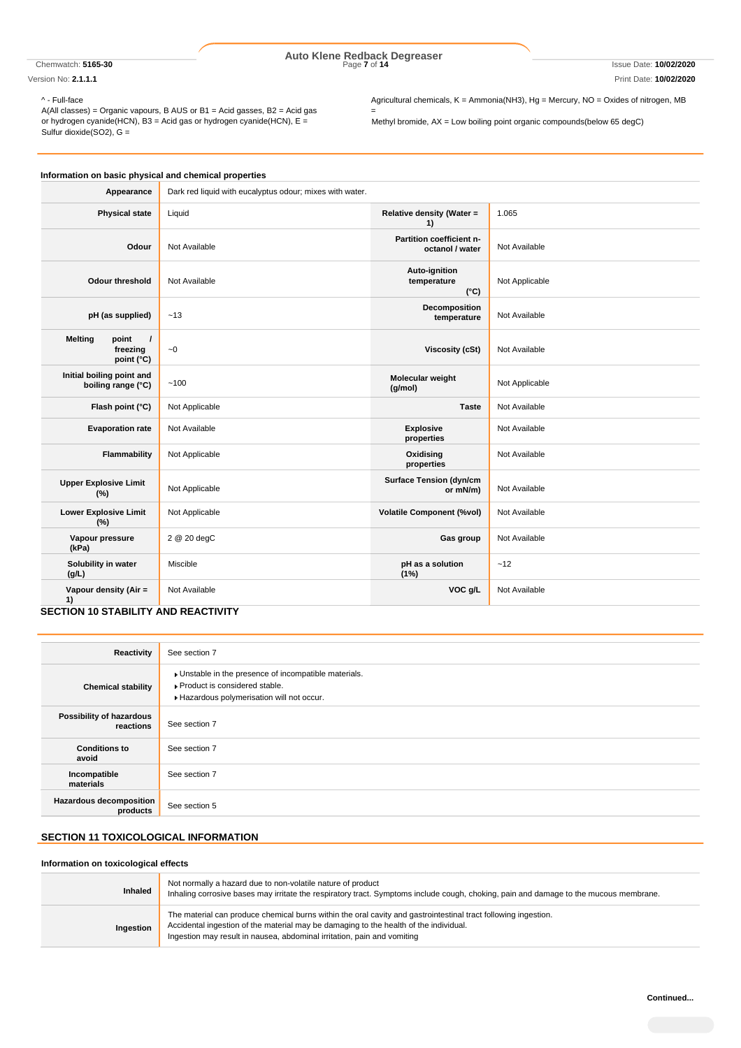# Chemwatch: **5165-30** Page **7** of **14** Issue Date: **10/02/2020 Auto Klene Redback Degreaser**

=

Version No: **2.1.1.1** Print Date: **10/02/2020**

^ - Full-face

A(All classes) = Organic vapours, B AUS or B1 = Acid gasses, B2 = Acid gas or hydrogen cyanide(HCN), B3 = Acid gas or hydrogen cyanide(HCN), E = Sulfur dioxide(SO2), G =

Agricultural chemicals, K = Ammonia(NH3), Hg = Mercury, NO = Oxides of nitrogen, MB

Methyl bromide, AX = Low boiling point organic compounds(below 65 degC)

| Information on basic physical and chemical properties         |                                                          |                                               |                |
|---------------------------------------------------------------|----------------------------------------------------------|-----------------------------------------------|----------------|
| Appearance                                                    | Dark red liquid with eucalyptus odour; mixes with water. |                                               |                |
| <b>Physical state</b>                                         | Liquid                                                   | Relative density (Water =<br>1)               | 1.065          |
| Odour                                                         | Not Available                                            | Partition coefficient n-<br>octanol / water   | Not Available  |
| Odour threshold                                               | Not Available                                            | Auto-ignition<br>temperature<br>$(^{\circ}C)$ | Not Applicable |
| pH (as supplied)                                              | ~13                                                      | Decomposition<br>temperature                  | Not Available  |
| <b>Melting</b><br>point<br>$\prime$<br>freezing<br>point (°C) | $\sim 0$                                                 | Viscosity (cSt)                               | Not Available  |
| Initial boiling point and<br>boiling range (°C)               | ~100                                                     | Molecular weight<br>(g/mol)                   | Not Applicable |
| Flash point (°C)                                              | Not Applicable                                           | <b>Taste</b>                                  | Not Available  |
| <b>Evaporation rate</b>                                       | Not Available                                            | <b>Explosive</b><br>properties                | Not Available  |
| Flammability                                                  | Not Applicable                                           | Oxidising<br>properties                       | Not Available  |
| <b>Upper Explosive Limit</b><br>(%)                           | Not Applicable                                           | <b>Surface Tension (dyn/cm</b><br>or mN/m)    | Not Available  |
| <b>Lower Explosive Limit</b><br>(%)                           | Not Applicable                                           | <b>Volatile Component (%vol)</b>              | Not Available  |
| Vapour pressure<br>(kPa)                                      | 2 @ 20 degC                                              | Gas group                                     | Not Available  |
| Solubility in water<br>(g/L)                                  | Miscible                                                 | pH as a solution<br>(1%)                      | ~12            |
| Vapour density (Air =<br>1)                                   | Not Available                                            | VOC g/L                                       | Not Available  |

## **SECTION 10 STABILITY AND REACTIVITY**

| Reactivity                                 | See section 7                                                                                                                      |
|--------------------------------------------|------------------------------------------------------------------------------------------------------------------------------------|
| <b>Chemical stability</b>                  | Unstable in the presence of incompatible materials.<br>▶ Product is considered stable.<br>Hazardous polymerisation will not occur. |
| Possibility of hazardous<br>reactions      | See section 7                                                                                                                      |
| <b>Conditions to</b><br>avoid              | See section 7                                                                                                                      |
| Incompatible<br>materials                  | See section 7                                                                                                                      |
| <b>Hazardous decomposition</b><br>products | See section 5                                                                                                                      |

# **SECTION 11 TOXICOLOGICAL INFORMATION**

# **Information on toxicological effects**

| <b>Inhaled</b> | Not normally a hazard due to non-volatile nature of product<br>Inhaling corrosive bases may irritate the respiratory tract. Symptoms include cough, choking, pain and damage to the mucous membrane.                                                                               |
|----------------|------------------------------------------------------------------------------------------------------------------------------------------------------------------------------------------------------------------------------------------------------------------------------------|
| Ingestion      | The material can produce chemical burns within the oral cavity and gastrointestinal tract following ingestion.<br>Accidental ingestion of the material may be damaging to the health of the individual.<br>Ingestion may result in nausea, abdominal irritation, pain and vomiting |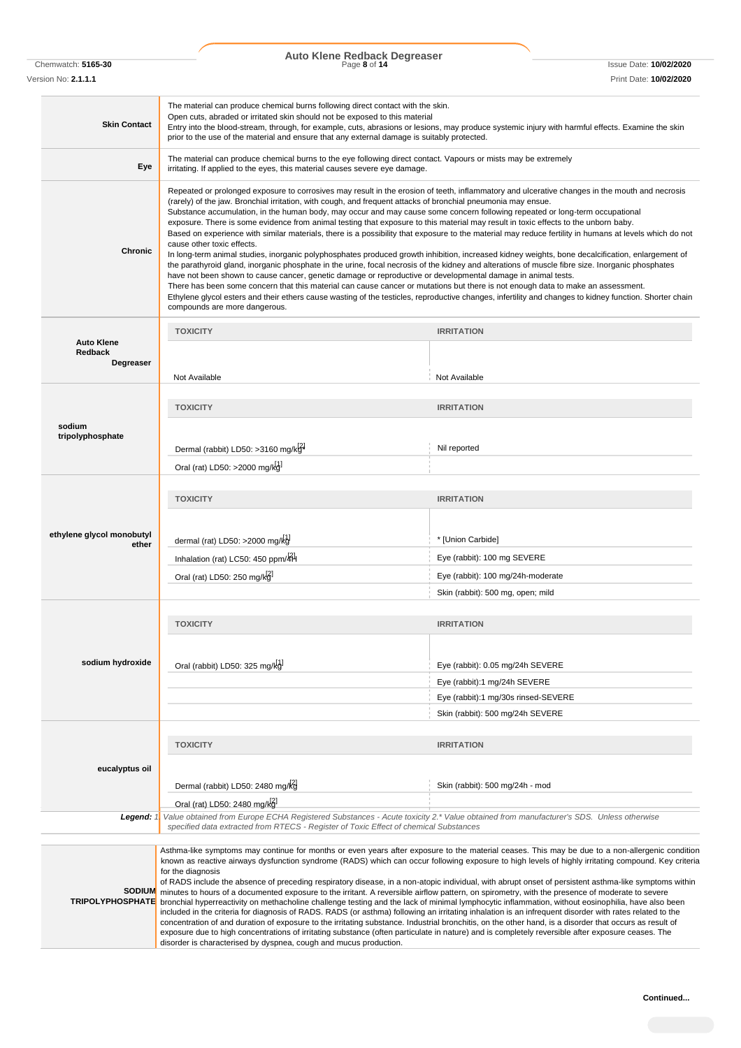Chemwatch: **5165-30** Page **8** of **14** Issue Date: **10/02/2020 Auto Klene Redback Degreaser**

Version No: **2.1.1.1** Print Date: **10/02/2020**

| <b>Skin Contact</b>                              | The material can produce chemical burns following direct contact with the skin.<br>Open cuts, abraded or irritated skin should not be exposed to this material<br>Entry into the blood-stream, through, for example, cuts, abrasions or lesions, may produce systemic injury with harmful effects. Examine the skin<br>prior to the use of the material and ensure that any external damage is suitably protected.                                                                                                                                                                                                                                                                                                                                                                                                                                                                                                                                                                                                                                                                                                                                                                                                                                                                                                                                                                                                                                                                     |                                     |  |
|--------------------------------------------------|----------------------------------------------------------------------------------------------------------------------------------------------------------------------------------------------------------------------------------------------------------------------------------------------------------------------------------------------------------------------------------------------------------------------------------------------------------------------------------------------------------------------------------------------------------------------------------------------------------------------------------------------------------------------------------------------------------------------------------------------------------------------------------------------------------------------------------------------------------------------------------------------------------------------------------------------------------------------------------------------------------------------------------------------------------------------------------------------------------------------------------------------------------------------------------------------------------------------------------------------------------------------------------------------------------------------------------------------------------------------------------------------------------------------------------------------------------------------------------------|-------------------------------------|--|
| Eye                                              | The material can produce chemical burns to the eye following direct contact. Vapours or mists may be extremely<br>irritating. If applied to the eyes, this material causes severe eye damage.                                                                                                                                                                                                                                                                                                                                                                                                                                                                                                                                                                                                                                                                                                                                                                                                                                                                                                                                                                                                                                                                                                                                                                                                                                                                                          |                                     |  |
| <b>Chronic</b>                                   | Repeated or prolonged exposure to corrosives may result in the erosion of teeth, inflammatory and ulcerative changes in the mouth and necrosis<br>(rarely) of the jaw. Bronchial irritation, with cough, and frequent attacks of bronchial pneumonia may ensue.<br>Substance accumulation, in the human body, may occur and may cause some concern following repeated or long-term occupational<br>exposure. There is some evidence from animal testing that exposure to this material may result in toxic effects to the unborn baby.<br>Based on experience with similar materials, there is a possibility that exposure to the material may reduce fertility in humans at levels which do not<br>cause other toxic effects.<br>In long-term animal studies, inorganic polyphosphates produced growth inhibition, increased kidney weights, bone decalcification, enlargement of<br>the parathyroid gland, inorganic phosphate in the urine, focal necrosis of the kidney and alterations of muscle fibre size. Inorganic phosphates<br>have not been shown to cause cancer, genetic damage or reproductive or developmental damage in animal tests.<br>There has been some concern that this material can cause cancer or mutations but there is not enough data to make an assessment.<br>Ethylene glycol esters and their ethers cause wasting of the testicles, reproductive changes, infertility and changes to kidney function. Shorter chain<br>compounds are more dangerous. |                                     |  |
|                                                  | <b>TOXICITY</b>                                                                                                                                                                                                                                                                                                                                                                                                                                                                                                                                                                                                                                                                                                                                                                                                                                                                                                                                                                                                                                                                                                                                                                                                                                                                                                                                                                                                                                                                        | <b>IRRITATION</b>                   |  |
| <b>Auto Klene</b><br><b>Redback</b><br>Degreaser | Not Available                                                                                                                                                                                                                                                                                                                                                                                                                                                                                                                                                                                                                                                                                                                                                                                                                                                                                                                                                                                                                                                                                                                                                                                                                                                                                                                                                                                                                                                                          | Not Available                       |  |
|                                                  |                                                                                                                                                                                                                                                                                                                                                                                                                                                                                                                                                                                                                                                                                                                                                                                                                                                                                                                                                                                                                                                                                                                                                                                                                                                                                                                                                                                                                                                                                        |                                     |  |
|                                                  | <b>TOXICITY</b>                                                                                                                                                                                                                                                                                                                                                                                                                                                                                                                                                                                                                                                                                                                                                                                                                                                                                                                                                                                                                                                                                                                                                                                                                                                                                                                                                                                                                                                                        | <b>IRRITATION</b>                   |  |
| sodium<br>tripolyphosphate                       | Dermal (rabbit) LD50: >3160 mg/kg <sup>4</sup>                                                                                                                                                                                                                                                                                                                                                                                                                                                                                                                                                                                                                                                                                                                                                                                                                                                                                                                                                                                                                                                                                                                                                                                                                                                                                                                                                                                                                                         | Nil reported                        |  |
|                                                  | Oral (rat) LD50: >2000 mg/kg                                                                                                                                                                                                                                                                                                                                                                                                                                                                                                                                                                                                                                                                                                                                                                                                                                                                                                                                                                                                                                                                                                                                                                                                                                                                                                                                                                                                                                                           |                                     |  |
|                                                  | <b>TOXICITY</b>                                                                                                                                                                                                                                                                                                                                                                                                                                                                                                                                                                                                                                                                                                                                                                                                                                                                                                                                                                                                                                                                                                                                                                                                                                                                                                                                                                                                                                                                        | <b>IRRITATION</b>                   |  |
| ethylene glycol monobutyl<br>ether               | dermal (rat) LD50: >2000 mg/kg                                                                                                                                                                                                                                                                                                                                                                                                                                                                                                                                                                                                                                                                                                                                                                                                                                                                                                                                                                                                                                                                                                                                                                                                                                                                                                                                                                                                                                                         | * [Union Carbide]                   |  |
|                                                  | Inhalation (rat) LC50: 450 ppm/4H                                                                                                                                                                                                                                                                                                                                                                                                                                                                                                                                                                                                                                                                                                                                                                                                                                                                                                                                                                                                                                                                                                                                                                                                                                                                                                                                                                                                                                                      | Eye (rabbit): 100 mg SEVERE         |  |
|                                                  | Oral (rat) LD50: 250 mg/kg                                                                                                                                                                                                                                                                                                                                                                                                                                                                                                                                                                                                                                                                                                                                                                                                                                                                                                                                                                                                                                                                                                                                                                                                                                                                                                                                                                                                                                                             | Eye (rabbit): 100 mg/24h-moderate   |  |
|                                                  |                                                                                                                                                                                                                                                                                                                                                                                                                                                                                                                                                                                                                                                                                                                                                                                                                                                                                                                                                                                                                                                                                                                                                                                                                                                                                                                                                                                                                                                                                        | Skin (rabbit): 500 mg, open; mild   |  |
|                                                  |                                                                                                                                                                                                                                                                                                                                                                                                                                                                                                                                                                                                                                                                                                                                                                                                                                                                                                                                                                                                                                                                                                                                                                                                                                                                                                                                                                                                                                                                                        |                                     |  |
|                                                  | <b>TOXICITY</b>                                                                                                                                                                                                                                                                                                                                                                                                                                                                                                                                                                                                                                                                                                                                                                                                                                                                                                                                                                                                                                                                                                                                                                                                                                                                                                                                                                                                                                                                        | <b>IRRITATION</b>                   |  |
|                                                  |                                                                                                                                                                                                                                                                                                                                                                                                                                                                                                                                                                                                                                                                                                                                                                                                                                                                                                                                                                                                                                                                                                                                                                                                                                                                                                                                                                                                                                                                                        |                                     |  |
| sodium hydroxide                                 | Oral (rabbit) LD50: 325 mg/kg                                                                                                                                                                                                                                                                                                                                                                                                                                                                                                                                                                                                                                                                                                                                                                                                                                                                                                                                                                                                                                                                                                                                                                                                                                                                                                                                                                                                                                                          | Eye (rabbit): 0.05 mg/24h SEVERE    |  |
|                                                  |                                                                                                                                                                                                                                                                                                                                                                                                                                                                                                                                                                                                                                                                                                                                                                                                                                                                                                                                                                                                                                                                                                                                                                                                                                                                                                                                                                                                                                                                                        | Eye (rabbit):1 mg/24h SEVERE        |  |
|                                                  |                                                                                                                                                                                                                                                                                                                                                                                                                                                                                                                                                                                                                                                                                                                                                                                                                                                                                                                                                                                                                                                                                                                                                                                                                                                                                                                                                                                                                                                                                        | Eye (rabbit):1 mg/30s rinsed-SEVERE |  |
|                                                  |                                                                                                                                                                                                                                                                                                                                                                                                                                                                                                                                                                                                                                                                                                                                                                                                                                                                                                                                                                                                                                                                                                                                                                                                                                                                                                                                                                                                                                                                                        | Skin (rabbit): 500 mg/24h SEVERE    |  |
|                                                  |                                                                                                                                                                                                                                                                                                                                                                                                                                                                                                                                                                                                                                                                                                                                                                                                                                                                                                                                                                                                                                                                                                                                                                                                                                                                                                                                                                                                                                                                                        |                                     |  |
|                                                  | <b>TOXICITY</b>                                                                                                                                                                                                                                                                                                                                                                                                                                                                                                                                                                                                                                                                                                                                                                                                                                                                                                                                                                                                                                                                                                                                                                                                                                                                                                                                                                                                                                                                        | <b>IRRITATION</b>                   |  |
|                                                  |                                                                                                                                                                                                                                                                                                                                                                                                                                                                                                                                                                                                                                                                                                                                                                                                                                                                                                                                                                                                                                                                                                                                                                                                                                                                                                                                                                                                                                                                                        |                                     |  |
| eucalyptus oil                                   |                                                                                                                                                                                                                                                                                                                                                                                                                                                                                                                                                                                                                                                                                                                                                                                                                                                                                                                                                                                                                                                                                                                                                                                                                                                                                                                                                                                                                                                                                        |                                     |  |
|                                                  | Dermal (rabbit) LD50: 2480 mg/kg                                                                                                                                                                                                                                                                                                                                                                                                                                                                                                                                                                                                                                                                                                                                                                                                                                                                                                                                                                                                                                                                                                                                                                                                                                                                                                                                                                                                                                                       | Skin (rabbit): 500 mg/24h - mod     |  |
| Legend: 1                                        | Oral (rat) LD50: 2480 mg/kg<br>Value obtained from Europe ECHA Registered Substances - Acute toxicity 2.* Value obtained from manufacturer's SDS. Unless otherwise                                                                                                                                                                                                                                                                                                                                                                                                                                                                                                                                                                                                                                                                                                                                                                                                                                                                                                                                                                                                                                                                                                                                                                                                                                                                                                                     |                                     |  |
|                                                  | specified data extracted from RTECS - Register of Toxic Effect of chemical Substances                                                                                                                                                                                                                                                                                                                                                                                                                                                                                                                                                                                                                                                                                                                                                                                                                                                                                                                                                                                                                                                                                                                                                                                                                                                                                                                                                                                                  |                                     |  |
| <b>SODIUM</b><br><b>TRIPOLYPHOSPHATE</b>         | Asthma-like symptoms may continue for months or even years after exposure to the material ceases. This may be due to a non-allergenic condition<br>known as reactive airways dysfunction syndrome (RADS) which can occur following exposure to high levels of highly irritating compound. Key criteria<br>for the diagnosis<br>of RADS include the absence of preceding respiratory disease, in a non-atopic individual, with abrupt onset of persistent asthma-like symptoms within<br>minutes to hours of a documented exposure to the irritant. A reversible airflow pattern, on spirometry, with the presence of moderate to severe<br>bronchial hyperreactivity on methacholine challenge testing and the lack of minimal lymphocytic inflammation, without eosinophilia, have also been<br>included in the criteria for diagnosis of RADS. RADS (or asthma) following an irritating inhalation is an infrequent disorder with rates related to the<br>concentration of and duration of exposure to the irritating substance. Industrial bronchitis, on the other hand, is a disorder that occurs as result of<br>exposure due to high concentrations of irritating substance (often particulate in nature) and is completely reversible after exposure ceases. The<br>disorder is characterised by dyspnea, cough and mucus production.                                                                                                                                          |                                     |  |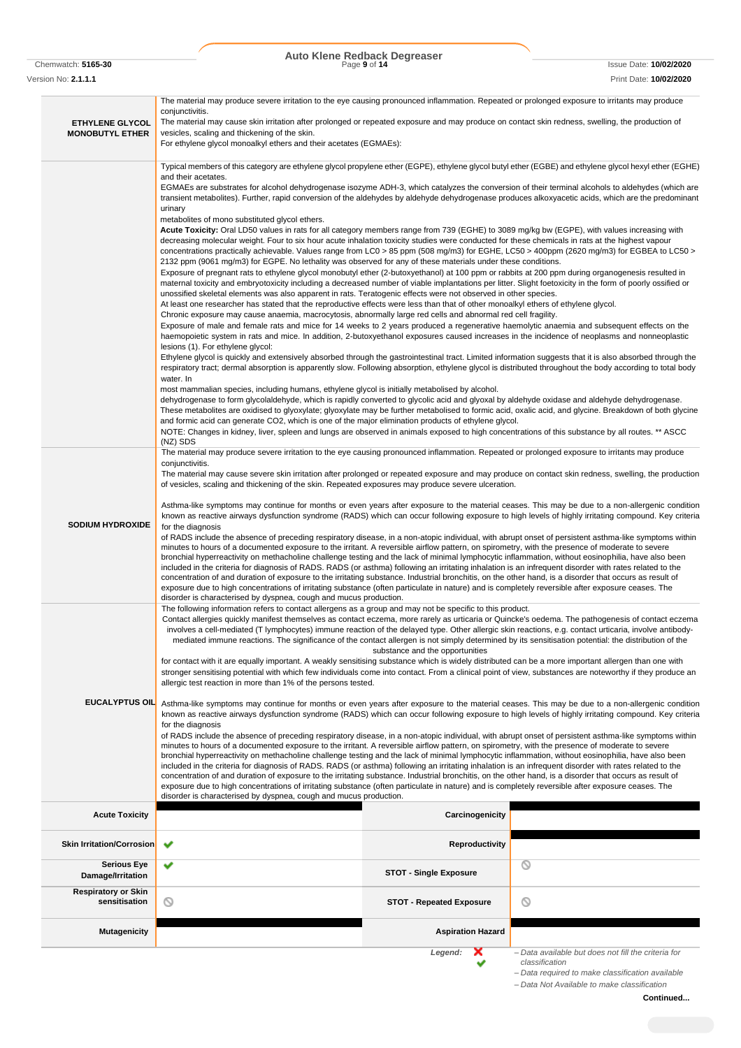Chemwatch: **5165-30** Page **9** of **14** Issue Date: **10/02/2020 Auto Klene Redback Degreaser**

Version No: **2.1.1.1** Print Date: **10/02/2020**

|                                         | The material may produce severe irritation to the eye causing pronounced inflammation. Repeated or prolonged exposure to irritants may produce<br>conjunctivitis.                                                                                                                                                                                                                                                                                                                                                                                                                                                                                                                                                                                                                                         |                                 |                                                                       |
|-----------------------------------------|-----------------------------------------------------------------------------------------------------------------------------------------------------------------------------------------------------------------------------------------------------------------------------------------------------------------------------------------------------------------------------------------------------------------------------------------------------------------------------------------------------------------------------------------------------------------------------------------------------------------------------------------------------------------------------------------------------------------------------------------------------------------------------------------------------------|---------------------------------|-----------------------------------------------------------------------|
| <b>ETHYLENE GLYCOL</b>                  | The material may cause skin irritation after prolonged or repeated exposure and may produce on contact skin redness, swelling, the production of                                                                                                                                                                                                                                                                                                                                                                                                                                                                                                                                                                                                                                                          |                                 |                                                                       |
| <b>MONOBUTYL ETHER</b>                  | vesicles, scaling and thickening of the skin.                                                                                                                                                                                                                                                                                                                                                                                                                                                                                                                                                                                                                                                                                                                                                             |                                 |                                                                       |
|                                         | For ethylene glycol monoalkyl ethers and their acetates (EGMAEs):                                                                                                                                                                                                                                                                                                                                                                                                                                                                                                                                                                                                                                                                                                                                         |                                 |                                                                       |
|                                         | Typical members of this category are ethylene glycol propylene ether (EGPE), ethylene glycol butyl ether (EGBE) and ethylene glycol hexyl ether (EGHE)                                                                                                                                                                                                                                                                                                                                                                                                                                                                                                                                                                                                                                                    |                                 |                                                                       |
|                                         | and their acetates.<br>EGMAEs are substrates for alcohol dehydrogenase isozyme ADH-3, which catalyzes the conversion of their terminal alcohols to aldehydes (which are                                                                                                                                                                                                                                                                                                                                                                                                                                                                                                                                                                                                                                   |                                 |                                                                       |
|                                         | transient metabolites). Further, rapid conversion of the aldehydes by aldehyde dehydrogenase produces alkoxyacetic acids, which are the predominant                                                                                                                                                                                                                                                                                                                                                                                                                                                                                                                                                                                                                                                       |                                 |                                                                       |
|                                         | urinary                                                                                                                                                                                                                                                                                                                                                                                                                                                                                                                                                                                                                                                                                                                                                                                                   |                                 |                                                                       |
|                                         | metabolites of mono substituted glycol ethers.<br>Acute Toxicity: Oral LD50 values in rats for all category members range from 739 (EGHE) to 3089 mg/kg bw (EGPE), with values increasing with                                                                                                                                                                                                                                                                                                                                                                                                                                                                                                                                                                                                            |                                 |                                                                       |
|                                         | decreasing molecular weight. Four to six hour acute inhalation toxicity studies were conducted for these chemicals in rats at the highest vapour                                                                                                                                                                                                                                                                                                                                                                                                                                                                                                                                                                                                                                                          |                                 |                                                                       |
|                                         | concentrations practically achievable. Values range from LC0 > 85 ppm (508 mg/m3) for EGHE, LC50 > 400ppm (2620 mg/m3) for EGBEA to LC50 ><br>2132 ppm (9061 mg/m3) for EGPE. No lethality was observed for any of these materials under these conditions.                                                                                                                                                                                                                                                                                                                                                                                                                                                                                                                                                |                                 |                                                                       |
|                                         | Exposure of pregnant rats to ethylene glycol monobutyl ether (2-butoxyethanol) at 100 ppm or rabbits at 200 ppm during organogenesis resulted in                                                                                                                                                                                                                                                                                                                                                                                                                                                                                                                                                                                                                                                          |                                 |                                                                       |
|                                         | maternal toxicity and embryotoxicity including a decreased number of viable implantations per litter. Slight foetoxicity in the form of poorly ossified or<br>unossified skeletal elements was also apparent in rats. Teratogenic effects were not observed in other species.                                                                                                                                                                                                                                                                                                                                                                                                                                                                                                                             |                                 |                                                                       |
|                                         | At least one researcher has stated that the reproductive effects were less than that of other monoalkyl ethers of ethylene glycol.                                                                                                                                                                                                                                                                                                                                                                                                                                                                                                                                                                                                                                                                        |                                 |                                                                       |
|                                         | Chronic exposure may cause anaemia, macrocytosis, abnormally large red cells and abnormal red cell fragility.<br>Exposure of male and female rats and mice for 14 weeks to 2 years produced a regenerative haemolytic anaemia and subsequent effects on the                                                                                                                                                                                                                                                                                                                                                                                                                                                                                                                                               |                                 |                                                                       |
|                                         | haemopoietic system in rats and mice. In addition, 2-butoxyethanol exposures caused increases in the incidence of neoplasms and nonneoplastic                                                                                                                                                                                                                                                                                                                                                                                                                                                                                                                                                                                                                                                             |                                 |                                                                       |
|                                         | lesions (1). For ethylene glycol:                                                                                                                                                                                                                                                                                                                                                                                                                                                                                                                                                                                                                                                                                                                                                                         |                                 |                                                                       |
|                                         | Ethylene glycol is quickly and extensively absorbed through the gastrointestinal tract. Limited information suggests that it is also absorbed through the<br>respiratory tract; dermal absorption is apparently slow. Following absorption, ethylene glycol is distributed throughout the body according to total body                                                                                                                                                                                                                                                                                                                                                                                                                                                                                    |                                 |                                                                       |
|                                         | water. In                                                                                                                                                                                                                                                                                                                                                                                                                                                                                                                                                                                                                                                                                                                                                                                                 |                                 |                                                                       |
|                                         | most mammalian species, including humans, ethylene glycol is initially metabolised by alcohol.<br>dehydrogenase to form glycolaldehyde, which is rapidly converted to glycolic acid and glyoxal by aldehyde oxidase and aldehyde dehydrogenase.                                                                                                                                                                                                                                                                                                                                                                                                                                                                                                                                                           |                                 |                                                                       |
|                                         | These metabolites are oxidised to glyoxylate; glyoxylate may be further metabolised to formic acid, oxalic acid, and glycine. Breakdown of both glycine                                                                                                                                                                                                                                                                                                                                                                                                                                                                                                                                                                                                                                                   |                                 |                                                                       |
|                                         | and formic acid can generate CO2, which is one of the major elimination products of ethylene glycol.<br>NOTE: Changes in kidney, liver, spleen and lungs are observed in animals exposed to high concentrations of this substance by all routes. ** ASCC                                                                                                                                                                                                                                                                                                                                                                                                                                                                                                                                                  |                                 |                                                                       |
|                                         | (NZ) SDS                                                                                                                                                                                                                                                                                                                                                                                                                                                                                                                                                                                                                                                                                                                                                                                                  |                                 |                                                                       |
|                                         | The material may produce severe irritation to the eye causing pronounced inflammation. Repeated or prolonged exposure to irritants may produce<br>conjunctivitis.                                                                                                                                                                                                                                                                                                                                                                                                                                                                                                                                                                                                                                         |                                 |                                                                       |
|                                         | The material may cause severe skin irritation after prolonged or repeated exposure and may produce on contact skin redness, swelling, the production                                                                                                                                                                                                                                                                                                                                                                                                                                                                                                                                                                                                                                                      |                                 |                                                                       |
|                                         | of vesicles, scaling and thickening of the skin. Repeated exposures may produce severe ulceration.                                                                                                                                                                                                                                                                                                                                                                                                                                                                                                                                                                                                                                                                                                        |                                 |                                                                       |
|                                         | Asthma-like symptoms may continue for months or even years after exposure to the material ceases. This may be due to a non-allergenic condition                                                                                                                                                                                                                                                                                                                                                                                                                                                                                                                                                                                                                                                           |                                 |                                                                       |
| <b>SODIUM HYDROXIDE</b>                 | known as reactive airways dysfunction syndrome (RADS) which can occur following exposure to high levels of highly irritating compound. Key criteria                                                                                                                                                                                                                                                                                                                                                                                                                                                                                                                                                                                                                                                       |                                 |                                                                       |
|                                         | for the diagnosis<br>of RADS include the absence of preceding respiratory disease, in a non-atopic individual, with abrupt onset of persistent asthma-like symptoms within<br>minutes to hours of a documented exposure to the irritant. A reversible airflow pattern, on spirometry, with the presence of moderate to severe<br>bronchial hyperreactivity on methacholine challenge testing and the lack of minimal lymphocytic inflammation, without eosinophilia, have also been<br>included in the criteria for diagnosis of RADS. RADS (or asthma) following an irritating inhalation is an infrequent disorder with rates related to the<br>concentration of and duration of exposure to the irritating substance. Industrial bronchitis, on the other hand, is a disorder that occurs as result of |                                 |                                                                       |
|                                         |                                                                                                                                                                                                                                                                                                                                                                                                                                                                                                                                                                                                                                                                                                                                                                                                           |                                 |                                                                       |
|                                         |                                                                                                                                                                                                                                                                                                                                                                                                                                                                                                                                                                                                                                                                                                                                                                                                           |                                 |                                                                       |
|                                         | exposure due to high concentrations of irritating substance (often particulate in nature) and is completely reversible after exposure ceases. The                                                                                                                                                                                                                                                                                                                                                                                                                                                                                                                                                                                                                                                         |                                 |                                                                       |
|                                         | disorder is characterised by dyspnea, cough and mucus production.                                                                                                                                                                                                                                                                                                                                                                                                                                                                                                                                                                                                                                                                                                                                         |                                 |                                                                       |
|                                         | The following information refers to contact allergens as a group and may not be specific to this product.<br>Contact allergies quickly manifest themselves as contact eczema, more rarely as urticaria or Quincke's oedema. The pathogenesis of contact eczema                                                                                                                                                                                                                                                                                                                                                                                                                                                                                                                                            |                                 |                                                                       |
|                                         | involves a cell-mediated (T lymphocytes) immune reaction of the delayed type. Other allergic skin reactions, e.g. contact urticaria, involve antibody-                                                                                                                                                                                                                                                                                                                                                                                                                                                                                                                                                                                                                                                    |                                 |                                                                       |
|                                         | mediated immune reactions. The significance of the contact allergen is not simply determined by its sensitisation potential: the distribution of the                                                                                                                                                                                                                                                                                                                                                                                                                                                                                                                                                                                                                                                      | substance and the opportunities |                                                                       |
|                                         | for contact with it are equally important. A weakly sensitising substance which is widely distributed can be a more important allergen than one with                                                                                                                                                                                                                                                                                                                                                                                                                                                                                                                                                                                                                                                      |                                 |                                                                       |
|                                         | stronger sensitising potential with which few individuals come into contact. From a clinical point of view, substances are noteworthy if they produce an<br>allergic test reaction in more than 1% of the persons tested.                                                                                                                                                                                                                                                                                                                                                                                                                                                                                                                                                                                 |                                 |                                                                       |
|                                         |                                                                                                                                                                                                                                                                                                                                                                                                                                                                                                                                                                                                                                                                                                                                                                                                           |                                 |                                                                       |
| <b>EUCALYPTUS OIL</b>                   | Asthma-like symptoms may continue for months or even years after exposure to the material ceases. This may be due to a non-allergenic condition<br>known as reactive airways dysfunction syndrome (RADS) which can occur following exposure to high levels of highly irritating compound. Key criteria                                                                                                                                                                                                                                                                                                                                                                                                                                                                                                    |                                 |                                                                       |
|                                         | for the diagnosis                                                                                                                                                                                                                                                                                                                                                                                                                                                                                                                                                                                                                                                                                                                                                                                         |                                 |                                                                       |
|                                         | of RADS include the absence of preceding respiratory disease, in a non-atopic individual, with abrupt onset of persistent asthma-like symptoms within<br>minutes to hours of a documented exposure to the irritant. A reversible airflow pattern, on spirometry, with the presence of moderate to severe                                                                                                                                                                                                                                                                                                                                                                                                                                                                                                  |                                 |                                                                       |
|                                         | bronchial hyperreactivity on methacholine challenge testing and the lack of minimal lymphocytic inflammation, without eosinophilia, have also been                                                                                                                                                                                                                                                                                                                                                                                                                                                                                                                                                                                                                                                        |                                 |                                                                       |
|                                         | included in the criteria for diagnosis of RADS. RADS (or asthma) following an irritating inhalation is an infrequent disorder with rates related to the<br>concentration of and duration of exposure to the irritating substance. Industrial bronchitis, on the other hand, is a disorder that occurs as result of                                                                                                                                                                                                                                                                                                                                                                                                                                                                                        |                                 |                                                                       |
|                                         | exposure due to high concentrations of irritating substance (often particulate in nature) and is completely reversible after exposure ceases. The                                                                                                                                                                                                                                                                                                                                                                                                                                                                                                                                                                                                                                                         |                                 |                                                                       |
|                                         | disorder is characterised by dyspnea, cough and mucus production.                                                                                                                                                                                                                                                                                                                                                                                                                                                                                                                                                                                                                                                                                                                                         |                                 |                                                                       |
| <b>Acute Toxicity</b>                   |                                                                                                                                                                                                                                                                                                                                                                                                                                                                                                                                                                                                                                                                                                                                                                                                           | Carcinogenicity                 |                                                                       |
|                                         |                                                                                                                                                                                                                                                                                                                                                                                                                                                                                                                                                                                                                                                                                                                                                                                                           |                                 |                                                                       |
| Skin Irritation/Corrosion               | ✔                                                                                                                                                                                                                                                                                                                                                                                                                                                                                                                                                                                                                                                                                                                                                                                                         | Reproductivity                  |                                                                       |
| <b>Serious Eye</b><br>Damage/Irritation | ✔                                                                                                                                                                                                                                                                                                                                                                                                                                                                                                                                                                                                                                                                                                                                                                                                         | <b>STOT - Single Exposure</b>   | O                                                                     |
| <b>Respiratory or Skin</b>              |                                                                                                                                                                                                                                                                                                                                                                                                                                                                                                                                                                                                                                                                                                                                                                                                           |                                 |                                                                       |
| sensitisation                           | ◎                                                                                                                                                                                                                                                                                                                                                                                                                                                                                                                                                                                                                                                                                                                                                                                                         | <b>STOT - Repeated Exposure</b> | O                                                                     |
|                                         |                                                                                                                                                                                                                                                                                                                                                                                                                                                                                                                                                                                                                                                                                                                                                                                                           |                                 |                                                                       |
| <b>Mutagenicity</b>                     |                                                                                                                                                                                                                                                                                                                                                                                                                                                                                                                                                                                                                                                                                                                                                                                                           | <b>Aspiration Hazard</b>        |                                                                       |
|                                         |                                                                                                                                                                                                                                                                                                                                                                                                                                                                                                                                                                                                                                                                                                                                                                                                           | Legend:<br>×                    | - Data available but does not fill the criteria for<br>classification |
|                                         |                                                                                                                                                                                                                                                                                                                                                                                                                                                                                                                                                                                                                                                                                                                                                                                                           | v                               |                                                                       |

*– Data required to make classification available – Data Not Available to make classification*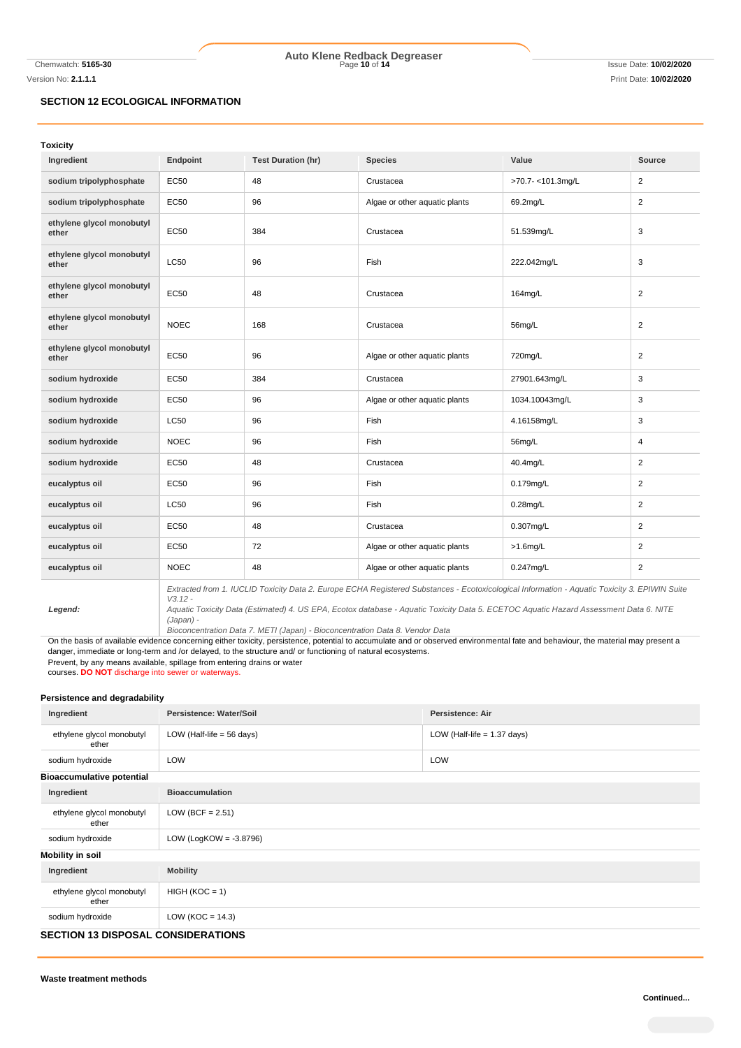Chemwatch: **5165-30** Page **10** of **14** Issue Date: **10/02/2020 Auto Klene Redback Degreaser**

Version No: **2.1.1.1** Print Date: **10/02/2020**

# **SECTION 12 ECOLOGICAL INFORMATION**

| <b>Toxicity</b>                    |                                                                                                                                           |                           |                               |                  |                |
|------------------------------------|-------------------------------------------------------------------------------------------------------------------------------------------|---------------------------|-------------------------------|------------------|----------------|
| Ingredient                         | Endpoint                                                                                                                                  | <b>Test Duration (hr)</b> | <b>Species</b>                | Value            | <b>Source</b>  |
| sodium tripolyphosphate            | <b>EC50</b>                                                                                                                               | 48                        | Crustacea                     | >70.7-<101.3mg/L | $\overline{2}$ |
| sodium tripolyphosphate            | <b>EC50</b>                                                                                                                               | 96                        | Algae or other aquatic plants | 69.2mg/L         | $\overline{2}$ |
| ethylene glycol monobutyl<br>ether | EC50                                                                                                                                      | 384                       | Crustacea                     | 51.539mg/L       | 3              |
| ethylene glycol monobutyl<br>ether | <b>LC50</b>                                                                                                                               | 96                        | Fish                          | 222.042mg/L      | 3              |
| ethylene glycol monobutyl<br>ether | <b>EC50</b>                                                                                                                               | 48                        | Crustacea                     | 164mg/L          | $\overline{2}$ |
| ethylene glycol monobutyl<br>ether | <b>NOEC</b>                                                                                                                               | 168                       | Crustacea                     | 56mg/L           | $\overline{2}$ |
| ethylene glycol monobutyl<br>ether | EC50                                                                                                                                      | 96                        | Algae or other aquatic plants | 720mg/L          | $\overline{2}$ |
| sodium hydroxide                   | EC50                                                                                                                                      | 384                       | Crustacea                     | 27901.643mg/L    | 3              |
| sodium hydroxide                   | EC50                                                                                                                                      | 96                        | Algae or other aquatic plants | 1034.10043mg/L   | 3              |
| sodium hydroxide                   | <b>LC50</b>                                                                                                                               | 96                        | Fish                          | 4.16158mg/L      | 3              |
| sodium hydroxide                   | <b>NOEC</b>                                                                                                                               | 96                        | Fish                          | 56mg/L           | 4              |
| sodium hydroxide                   | <b>EC50</b>                                                                                                                               | 48                        | Crustacea                     | 40.4mg/L         | $\overline{2}$ |
| eucalyptus oil                     | <b>EC50</b>                                                                                                                               | 96                        | Fish                          | 0.179mg/L        | $\overline{2}$ |
| eucalyptus oil                     | <b>LC50</b>                                                                                                                               | 96                        | Fish                          | $0.28$ mg/L      | $\overline{2}$ |
| eucalyptus oil                     | <b>EC50</b>                                                                                                                               | 48                        | Crustacea                     | 0.307mg/L        | 2              |
| eucalyptus oil                     | <b>EC50</b>                                                                                                                               | 72                        | Algae or other aquatic plants | $>1.6$ mg/L      | 2              |
| eucalyptus oil                     | <b>NOEC</b>                                                                                                                               | 48                        | Algae or other aquatic plants | 0.247mg/L        | 2              |
|                                    | Extracted from 1 HICHD Toxicity Data 2 Europe ECHA Registered Substances - Ecotoxicological Information - Aquatic Toxicity 3 EPIWIN Suite |                           |                               |                  |                |

*Legend:*

*Extracted from 1. IUCLID Toxicity Data 2. Europe ECHA Registered Substances - Ecotoxicological Information - Aquatic Toxicity 3. EPIWIN Suite V3.12 - Aquatic Toxicity Data (Estimated) 4. US EPA, Ecotox database - Aquatic Toxicity Data 5. ECETOC Aquatic Hazard Assessment Data 6. NITE* 

*(Japan) -*

*Bioconcentration Data 7. METI (Japan) - Bioconcentration Data 8. Vendor Data*

On the basis of available evidence concerning either toxicity, persistence, potential to accumulate and or observed environmental fate and behaviour, the material may present a danger, immediate or long-term and /or delayed, to the structure and/ or functioning of natural ecosystems. Prevent, by any means available, spillage from entering drains or water

courses. **DO NOT** discharge into sewer or waterways.

### **Persistence and degradability**

| Ingredient                                  | Persistence: Water/Soil              | Persistence: Air              |  |  |
|---------------------------------------------|--------------------------------------|-------------------------------|--|--|
| ethylene glycol monobutyl<br>ether          | LOW (Half-life = $56 \text{ days}$ ) | LOW (Half-life $= 1.37$ days) |  |  |
| sodium hydroxide                            | LOW                                  | LOW                           |  |  |
| <b>Bioaccumulative potential</b>            |                                      |                               |  |  |
| Ingredient                                  | <b>Bioaccumulation</b>               |                               |  |  |
| ethylene glycol monobutyl<br>ether          | LOW (BCF = $2.51$ )                  |                               |  |  |
| sodium hydroxide                            | LOW (LogKOW = $-3.8796$ )            |                               |  |  |
| <b>Mobility in soil</b>                     |                                      |                               |  |  |
| Ingredient                                  | <b>Mobility</b>                      |                               |  |  |
| ethylene glycol monobutyl<br>ether          | $HIGH (KOC = 1)$                     |                               |  |  |
| sodium hydroxide                            | LOW ( $KOC = 14.3$ )                 |                               |  |  |
| <b>OF ATIAN 10 DIODAGAL AGNOIDED ATIANO</b> |                                      |                               |  |  |

# **SECTION 13 DISPOSAL CONSIDERATIONS**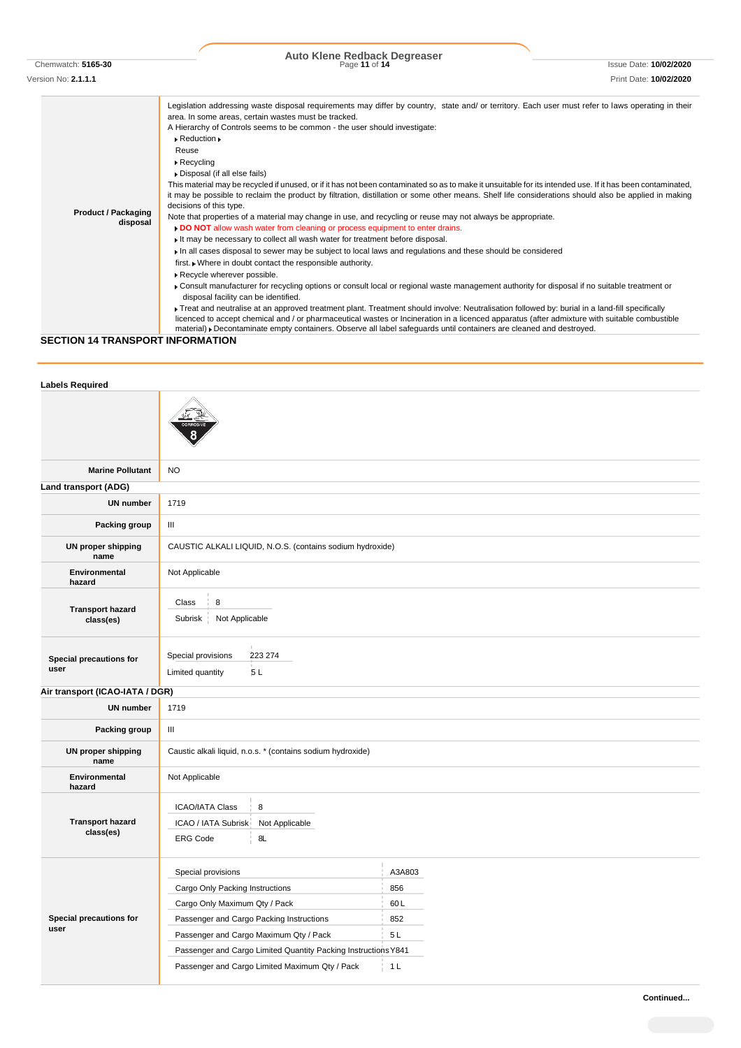Chemwatch: **5165-30** Page **11** of **14** Issue Date: **10/02/2020 Auto Klene Redback Degreaser**

Version No: **2.1.1.1** Print Date: **10/02/2020**

#### **Product / Packaging disposal** Legislation addressing waste disposal requirements may differ by country, state and/ or territory. Each user must refer to laws operating in their area. In some areas, certain wastes must be tracked. A Hierarchy of Controls seems to be common - the user should investigate: Reduction Reuse Recycling Disposal (if all else fails) This material may be recycled if unused, or if it has not been contaminated so as to make it unsuitable for its intended use. If it has been contaminated, it may be possible to reclaim the product by filtration, distillation or some other means. Shelf life considerations should also be applied in making decisions of this type. Note that properties of a material may change in use, and recycling or reuse may not always be appropriate. **DO NOT** allow wash water from cleaning or process equipment to enter drains. It may be necessary to collect all wash water for treatment before disposal. In all cases disposal to sewer may be subject to local laws and regulations and these should be considered first. Where in doubt contact the responsible authority. Recycle wherever possible. Consult manufacturer for recycling options or consult local or regional waste management authority for disposal if no suitable treatment or disposal facility can be identified. Treat and neutralise at an approved treatment plant. Treatment should involve: Neutralisation followed by: burial in a land-fill specifically licenced to accept chemical and / or pharmaceutical wastes or Incineration in a licenced apparatus (after admixture with suitable combustible

material) Decontaminate empty containers. Observe all label safeguards until containers are cleaned and destroyed.

## **SECTION 14 TRANSPORT INFORMATION**

| <b>Labels Required</b>               |                                                                                                                                                                                                                                                                                                  |                                                     |  |  |
|--------------------------------------|--------------------------------------------------------------------------------------------------------------------------------------------------------------------------------------------------------------------------------------------------------------------------------------------------|-----------------------------------------------------|--|--|
|                                      |                                                                                                                                                                                                                                                                                                  |                                                     |  |  |
| <b>Marine Pollutant</b>              | <b>NO</b>                                                                                                                                                                                                                                                                                        |                                                     |  |  |
| Land transport (ADG)                 |                                                                                                                                                                                                                                                                                                  |                                                     |  |  |
| <b>UN number</b>                     | 1719                                                                                                                                                                                                                                                                                             |                                                     |  |  |
| Packing group                        | $\mathbf{III}$                                                                                                                                                                                                                                                                                   |                                                     |  |  |
| <b>UN proper shipping</b><br>name    | CAUSTIC ALKALI LIQUID, N.O.S. (contains sodium hydroxide)                                                                                                                                                                                                                                        |                                                     |  |  |
| Environmental<br>hazard              | Not Applicable                                                                                                                                                                                                                                                                                   |                                                     |  |  |
| <b>Transport hazard</b><br>class(es) | Class<br>8<br>Subrisk<br>Not Applicable                                                                                                                                                                                                                                                          |                                                     |  |  |
| Special precautions for<br>user      | Special provisions<br>223 274<br>5L<br>Limited quantity                                                                                                                                                                                                                                          |                                                     |  |  |
| Air transport (ICAO-IATA / DGR)      |                                                                                                                                                                                                                                                                                                  |                                                     |  |  |
| <b>UN number</b>                     | 1719                                                                                                                                                                                                                                                                                             |                                                     |  |  |
| Packing group                        | $\ensuremath{\mathsf{III}}\xspace$                                                                                                                                                                                                                                                               |                                                     |  |  |
| <b>UN proper shipping</b><br>name    | Caustic alkali liquid, n.o.s. * (contains sodium hydroxide)                                                                                                                                                                                                                                      |                                                     |  |  |
| Environmental<br>hazard              | Not Applicable                                                                                                                                                                                                                                                                                   |                                                     |  |  |
| <b>Transport hazard</b><br>class(es) | <b>ICAO/IATA Class</b><br>8<br>ICAO / IATA Subrisk<br>Not Applicable<br>8L<br><b>ERG Code</b>                                                                                                                                                                                                    |                                                     |  |  |
| Special precautions for<br>user      | Special provisions<br>Cargo Only Packing Instructions<br>Cargo Only Maximum Qty / Pack<br>Passenger and Cargo Packing Instructions<br>Passenger and Cargo Maximum Qty / Pack<br>Passenger and Cargo Limited Quantity Packing Instructions Y841<br>Passenger and Cargo Limited Maximum Qty / Pack | A3A803<br>856<br>60L<br>852<br>5L<br>1 <sub>L</sub> |  |  |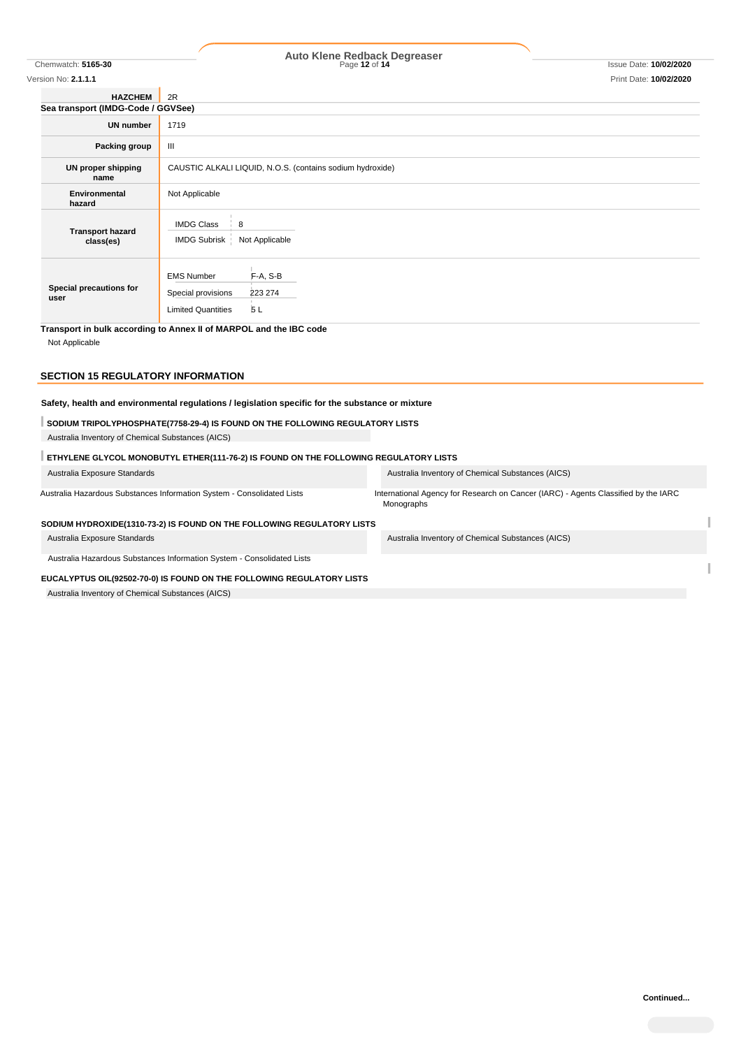# Chemwatch: **5165-30** Page **12** of **14** Issue Date: **10/02/2020 Auto Klene Redback Degreaser**

| Version No: 2.1.1.1                  | Print Date: 10/02/2020                                                                            |  |  |  |
|--------------------------------------|---------------------------------------------------------------------------------------------------|--|--|--|
| <b>HAZCHEM</b>                       | 2R                                                                                                |  |  |  |
| Sea transport (IMDG-Code / GGVSee)   |                                                                                                   |  |  |  |
| <b>UN number</b>                     | 1719                                                                                              |  |  |  |
| Packing group                        | Ш                                                                                                 |  |  |  |
| UN proper shipping<br>name           | CAUSTIC ALKALI LIQUID, N.O.S. (contains sodium hydroxide)                                         |  |  |  |
| Environmental<br>hazard              | Not Applicable                                                                                    |  |  |  |
| <b>Transport hazard</b><br>class(es) | <b>IMDG Class</b><br>8<br>IMDG Subrisk   Not Applicable                                           |  |  |  |
| Special precautions for<br>user      | <b>EMS Number</b><br>F-A, S-B<br>Special provisions<br>223 274<br>5L<br><b>Limited Quantities</b> |  |  |  |

**Transport in bulk according to Annex II of MARPOL and the IBC code**

Not Applicable

# **SECTION 15 REGULATORY INFORMATION**

# **Safety, health and environmental regulations / legislation specific for the substance or mixture**

## **SODIUM TRIPOLYPHOSPHATE(7758-29-4) IS FOUND ON THE FOLLOWING REGULATORY LISTS**

Australia Inventory of Chemical Substances (AICS)

# **ETHYLENE GLYCOL MONOBUTYL ETHER(111-76-2) IS FOUND ON THE FOLLOWING REGULATORY LISTS**

| Australia Exposure Standards                                           | Australia Inventory of Chemical Substances (AICS)                                                |
|------------------------------------------------------------------------|--------------------------------------------------------------------------------------------------|
| Australia Hazardous Substances Information System - Consolidated Lists | International Agency for Research on Cancer (IARC) - Agents Classified by the IARC<br>Monographs |
| SODIUM HYDROXIDE(1310-73-2) IS FOUND ON THE FOLLOWING REGULATORY LISTS |                                                                                                  |
| Australia Exposure Standards                                           | Australia Inventory of Chemical Substances (AICS)                                                |
| Australia Hazardous Substances Information System - Consolidated Lists |                                                                                                  |
| EUCALYPTUS OIL(92502-70-0) IS FOUND ON THE FOLLOWING REGULATORY LISTS  |                                                                                                  |
| Australia Inventory of Chemical Substances (AICS)                      |                                                                                                  |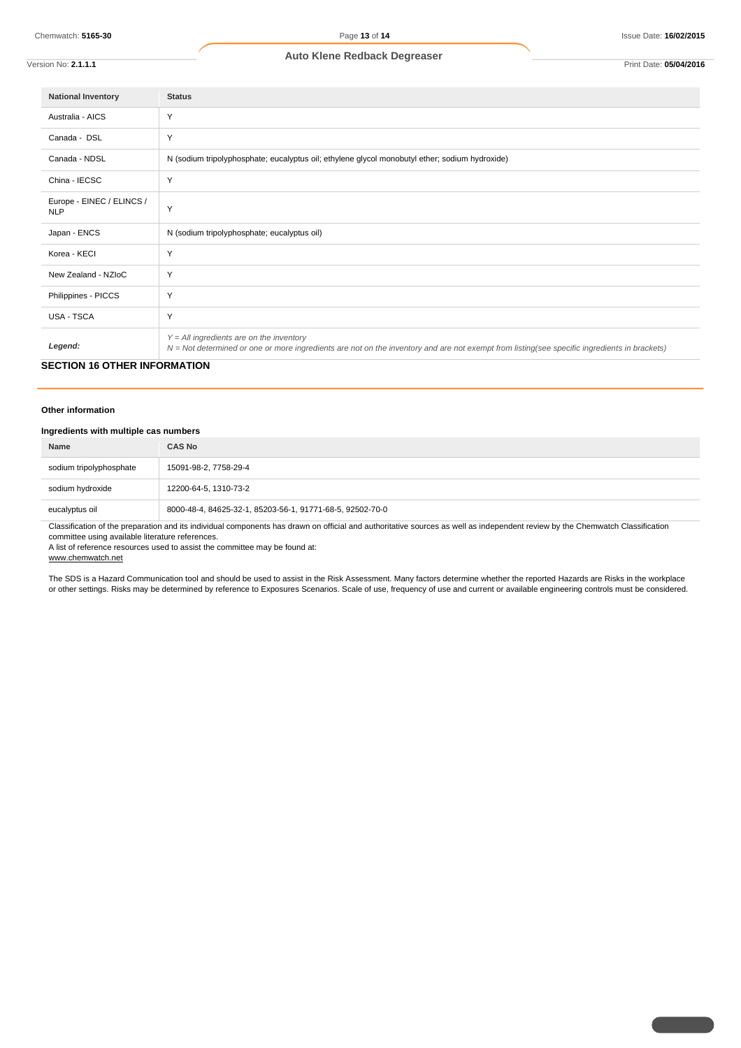Version No: **2.1.1.1** Print Date: **05/04/2016**

| <b>National Inventory</b>               | <b>Status</b>                                                                                                                                                                              |
|-----------------------------------------|--------------------------------------------------------------------------------------------------------------------------------------------------------------------------------------------|
| Australia - AICS                        | Y                                                                                                                                                                                          |
| Canada - DSL                            | Y                                                                                                                                                                                          |
| Canada - NDSL                           | N (sodium tripolyphosphate; eucalyptus oil; ethylene glycol monobutyl ether; sodium hydroxide)                                                                                             |
| China - IECSC                           | Y                                                                                                                                                                                          |
| Europe - EINEC / ELINCS /<br><b>NLP</b> | Y                                                                                                                                                                                          |
| Japan - ENCS                            | N (sodium tripolyphosphate; eucalyptus oil)                                                                                                                                                |
| Korea - KECI                            | Y                                                                                                                                                                                          |
| New Zealand - NZIoC                     | Y                                                                                                                                                                                          |
| Philippines - PICCS                     | Y                                                                                                                                                                                          |
| <b>USA - TSCA</b>                       | Y                                                                                                                                                                                          |
| Legend:                                 | $Y = All$ ingredients are on the inventory<br>N = Not determined or one or more ingredients are not on the inventory and are not exempt from listing(see specific ingredients in brackets) |

# **SECTION 16 OTHER INFORMATION**

#### **Other information**

# **Ingredients with multiple cas numbers**

| Name                    | <b>CAS No</b>                                             |
|-------------------------|-----------------------------------------------------------|
| sodium tripolyphosphate | 15091-98-2, 7758-29-4                                     |
| sodium hydroxide        | 12200-64-5, 1310-73-2                                     |
| eucalyptus oil          | 8000-48-4, 84625-32-1, 85203-56-1, 91771-68-5, 92502-70-0 |

Classification of the preparation and its individual components has drawn on official and authoritative sources as well as independent review by the Chemwatch Classification committee using available literature references.

A list of reference resources used to assist the committee may be found at:

www.chemwatch.net

The SDS is a Hazard Communication tool and should be used to assist in the Risk Assessment. Many factors determine whether the reported Hazards are Risks in the workplace or other settings. Risks may be determined by reference to Exposures Scenarios. Scale of use, frequency of use and current or available engineering controls must be considered.